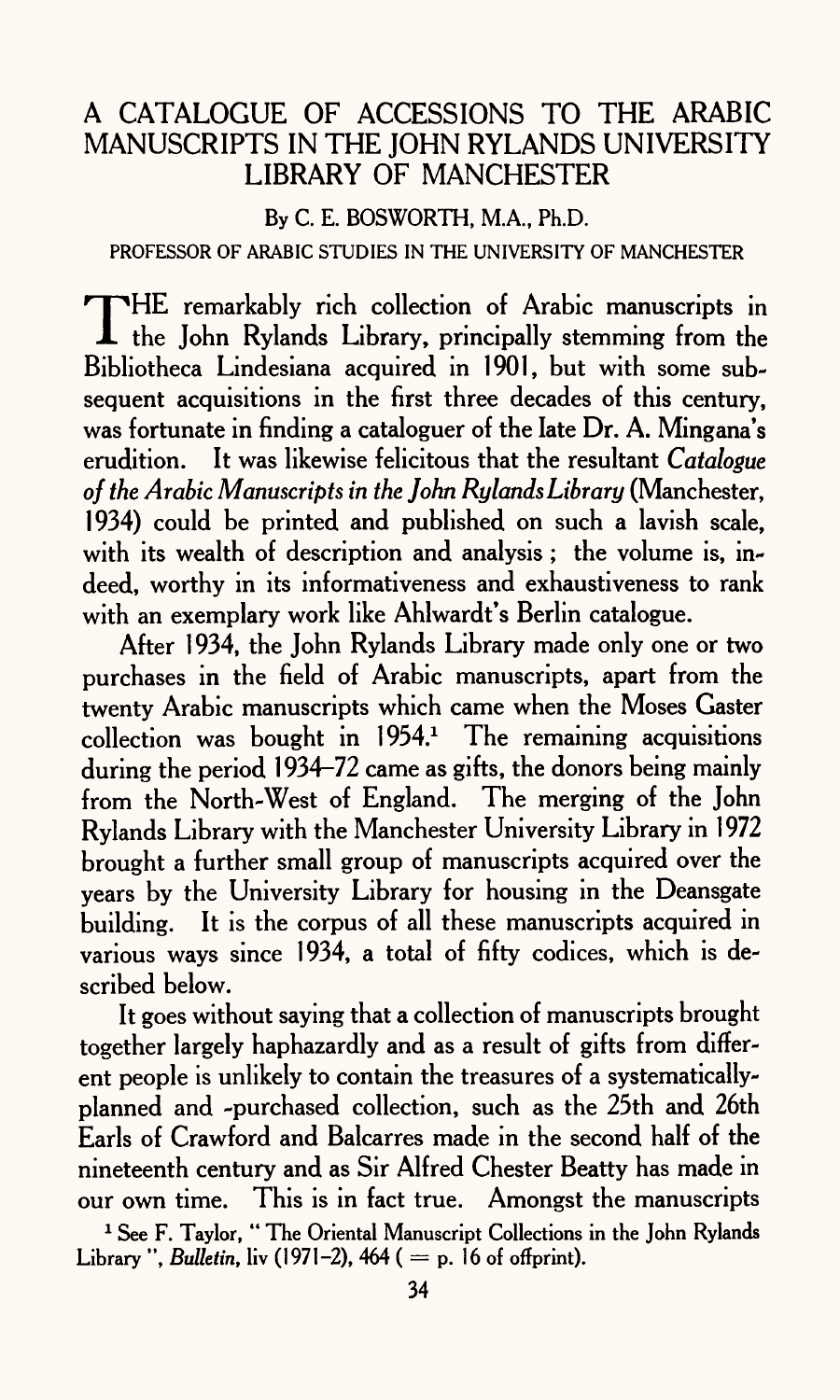## A CATALOGUE OF ACCESSIONS TO THE ARABIC MANUSCRIPTS IN THE JOHN RYLANDS UNIVERSITY LIBRARY OF MANCHESTER

### By C. E. BOSWORTH, M.A., Ph.D.

### PROFESSOR OF ARABIC STUDIES IN THE UNIVERSITY OF MANCHESTER

 $\rm T$ HE remarkably rich collection of Arabic manuscripts in the John Rylands Library, principally stemming from the Bibliotheca Lindesiana acquired in 1901, but with some subsequent acquisitions in the first three decades of this century, was fortunate in finding a cataloguer of the late Dr. A. Mingana's erudition. It was likewise felicitous that the resultant *Catalogue of the Arabic Manuscripts in the John Rylands Library* (Manchester, 1934) could be printed and published on such a lavish scale, with its wealth of description and analysis; the volume is, indeed, worthy in its informativeness and exhaustiveness to rank with an exemplary work like Ahlwardt's Berlin catalogue.

After 1934, the John Rylands Library made only one or two purchases in the field of Arabic manuscripts, apart from the twenty Arabic manuscripts which came when the Moses Caster  $\alpha$  collection was bought in 1954.<sup>1</sup> The remaining acquisitions during the period 1934-72 came as gifts, the donors being mainly from the North-West of England. The merging of the John Rylands Library with the Manchester University Library in 1972 brought a further small group of manuscripts acquired over the years by the University Library for housing in the Deansgate building. It is the corpus of all these manuscripts acquired in various ways since 1934, a total of fifty codices, which is described below.

It goes without saying that a collection of manuscripts brought together largely haphazardly and as a result of gifts from different people is unlikely to contain the treasures of a systematicallyplanned and -purchased collection, such as the 25th and 26th Earls of Crawford and Balcarres made in the second half of the nineteenth century and as Sir Alfred Chester Beatty has made in our own time. This is in fact true. Amongst the manuscripts

<sup>1</sup> See F. Taylor, "The Oriental Manuscript Collections in the John Rylands Library ", *Bulletin*, liv (1971–2), 464 ( $=$  p. 16 of offprint).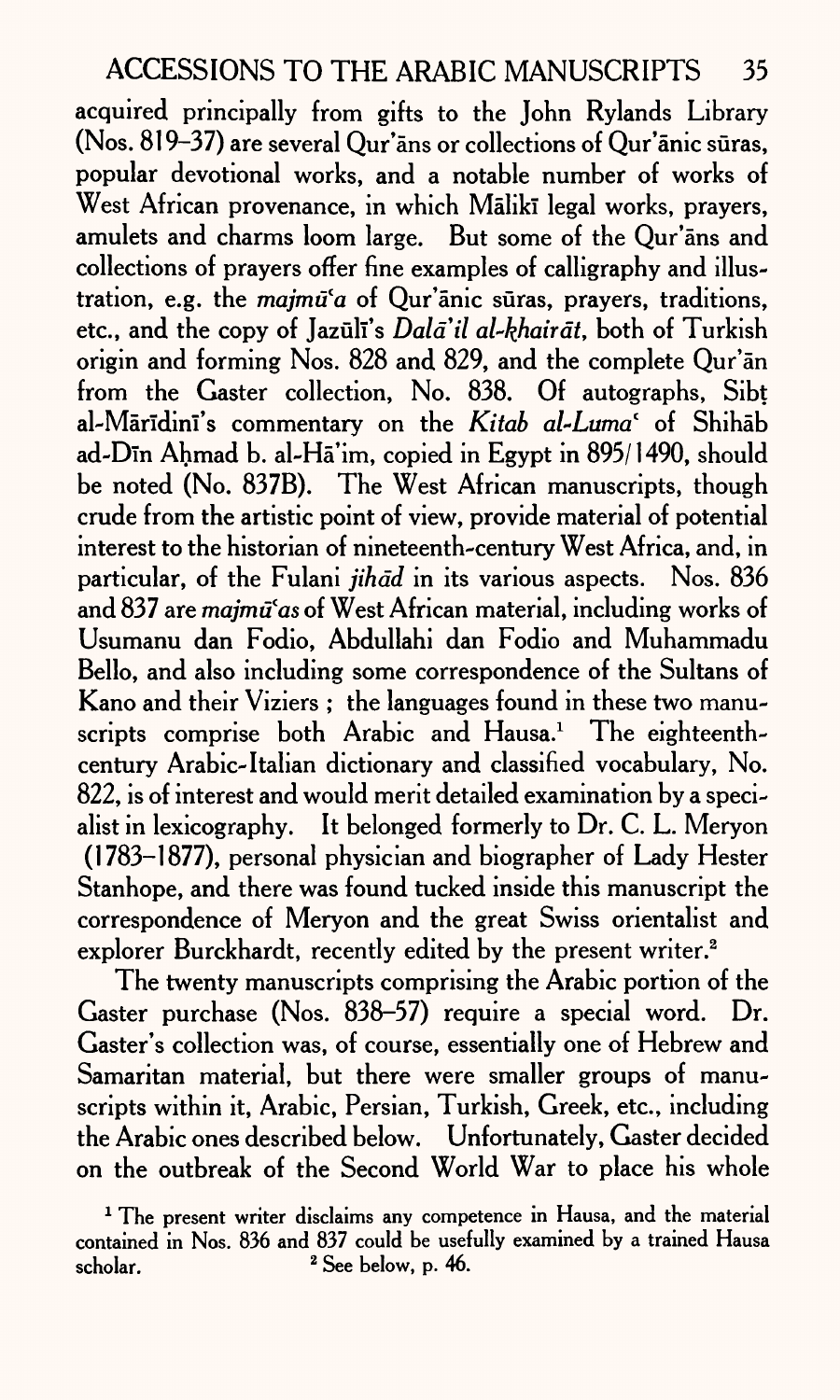acquired principally from gifts to the John Rylands Library (Nos. 819-37) are several Qur'ans or collections of Qur'anic suras, popular devotional works, and a notable number of works of West African provenance, in which Mālikī legal works, prayers, amulets and charms loom large. But some of the Qur'ans and collections of prayers offer fine examples of calligraphy and illustration, e.g. the *majmu'a* of Qur'anic suras, prayers, traditions, etc., and the copy of Jazūlī's *Dalā'il al-khairāt*, both of Turkish origin and forming Nos. 828 and 829, and the complete Qur'an from the Gaster collection, No. 838. Of autographs, Sibt al-Maridmi's commentary on the *Kitab al~Lumaf* of Shihab ad-Din Ahmad b. al-Ha'im, copied in Egypt in 895/1490, should be noted (No. 837B). The West African manuscripts, though crude from the artistic point of view, provide material of potential interest to the historian of nineteenth-century West Africa, and, in particular, of the Fulani *jihad* in its various aspects. Nos. 836 and 837 are *majmu'as* of West African material, including works of Usumanu dan Fodio, Abdullahi dan Fodio and Muhammadu Bello, and also including some correspondence of the Sultans of Kano and their Viziers ; the languages found in these two manuscripts comprise both Arabic and Hausa.<sup>1</sup> The eighteenthcentury Arabic-Italian dictionary and classified vocabulary, No. 822, is of interest and would merit detailed examination by a specialist in lexicography. It belonged formerly to Dr. C. L. Meryon (1783-1877), personal physician and biographer of Lady Hester Stanhope, and there was found tucked inside this manuscript the correspondence of Meryon and the great Swiss orientalist and explorer Burckhardt, recently edited by the present writer.<sup>2</sup>

The twenty manuscripts comprising the Arabic portion of the Gaster purchase (Nos. 838-57) require a special word. Dr. Caster's collection was, of course, essentially one of Hebrew and Samaritan material, but there were smaller groups of manuscripts within it, Arabic, Persian, Turkish, Greek, etc., including the Arabic ones described below. Unfortunately, Gaster decided on the outbreak of the Second World War to place his whole

<sup>&</sup>lt;sup>1</sup> The present writer disclaims any competence in Hausa, and the material contained in Nos. 836 and 837 could be usefully examined by a trained Hausa  $\mathsf{scholar.}$   $\qquad \qquad$   $\qquad$   $\qquad$   $\qquad$   $\qquad$   $\qquad$   $\qquad$   $\qquad$   $\qquad$   $\qquad$   $\qquad$   $\qquad$   $\qquad$   $\qquad$   $\qquad$   $\qquad$   $\qquad$   $\qquad$   $\qquad$   $\qquad$   $\qquad$   $\qquad$   $\qquad$   $\qquad$   $\qquad$   $\qquad$   $\qquad$   $\qquad$   $\qquad$   $\qquad$   $\qquad$   $\qquad$   $\qquad$   $\qquad$   $\q$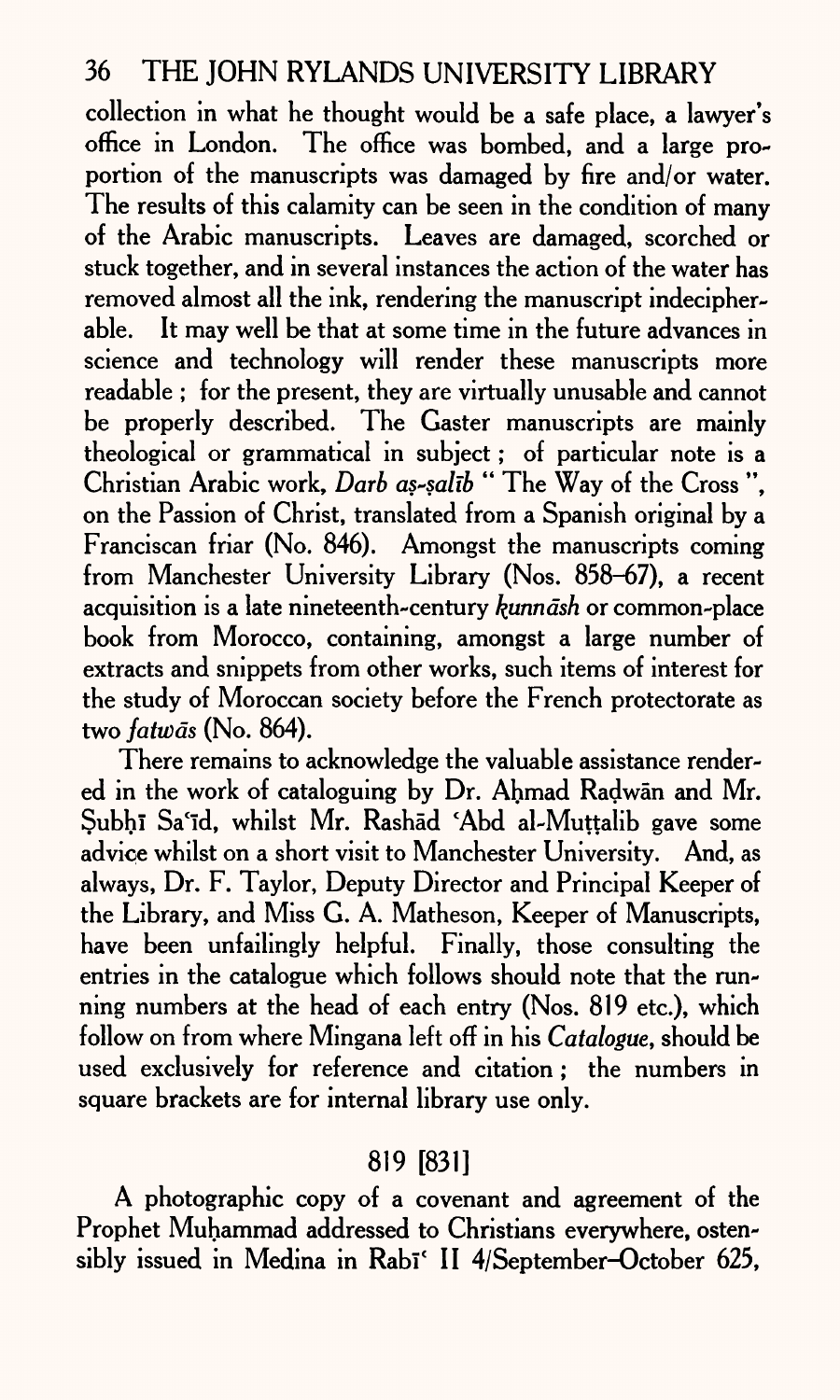collection in what he thought would be a safe place, a lawyer's office in London. The office was bombed, and a large proportion of the manuscripts was damaged by fire and/or water. The results of this calamity can be seen in the condition of many of the Arabic manuscripts. Leaves are damaged, scorched or stuck together, and in several instances the action of the water has removed almost all the ink, rendering the manuscript indecipherable. It may well be that at some time in the future advances in science and technology will render these manuscripts more readable ; for the present, they are virtually unusable and cannot be properly described. The Gaster manuscripts are mainly theological or grammatical in subject; of particular note is <sup>a</sup> Christian Arabic work, *Darb as-salib* " The Way of the Cross ", on the Passion of Christ, translated from a Spanish original by <sup>a</sup> Franciscan friar (No. 846). Amongst the manuscripts coming from Manchester University Library (Nos. 858-67), a recent acquisition is a late nineteenth-century *kunndsh* or common-place book from Morocco, containing, amongst a large number of extracts and snippets from other works, such items of interest for the study of Moroccan society before the French protectorate as two *fatwds* (No. 864).

There remains to acknowledge the valuable assistance rendered in the work of cataloguing by Dr. Ahmad Radwan and Mr. Subhi Sa'id, whilst Mr. Rashad \*Abd al-Muttalib gave some advice whilst on a short visit to Manchester University. And, as always, Dr. F. Taylor, Deputy Director and Principal Keeper of the Library, and Miss G. A. Matheson, Keeper of Manuscripts, have been unfailingly helpful. Finally, those consulting the entries in the catalogue which follows should note that the running numbers at the head of each entry (Nos. 819 etc.), which follow on from where Mingana left off in his *Catalogue,* should be used exclusively for reference and citation; the numbers in square brackets are for internal library use only.

# 819 [831]

A photographic copy of a covenant and agreement of the Prophet Muhammad addressed to Christians everywhere, ostensibly issued in Medina in Rabi<sup>c</sup> II 4/September-October 625,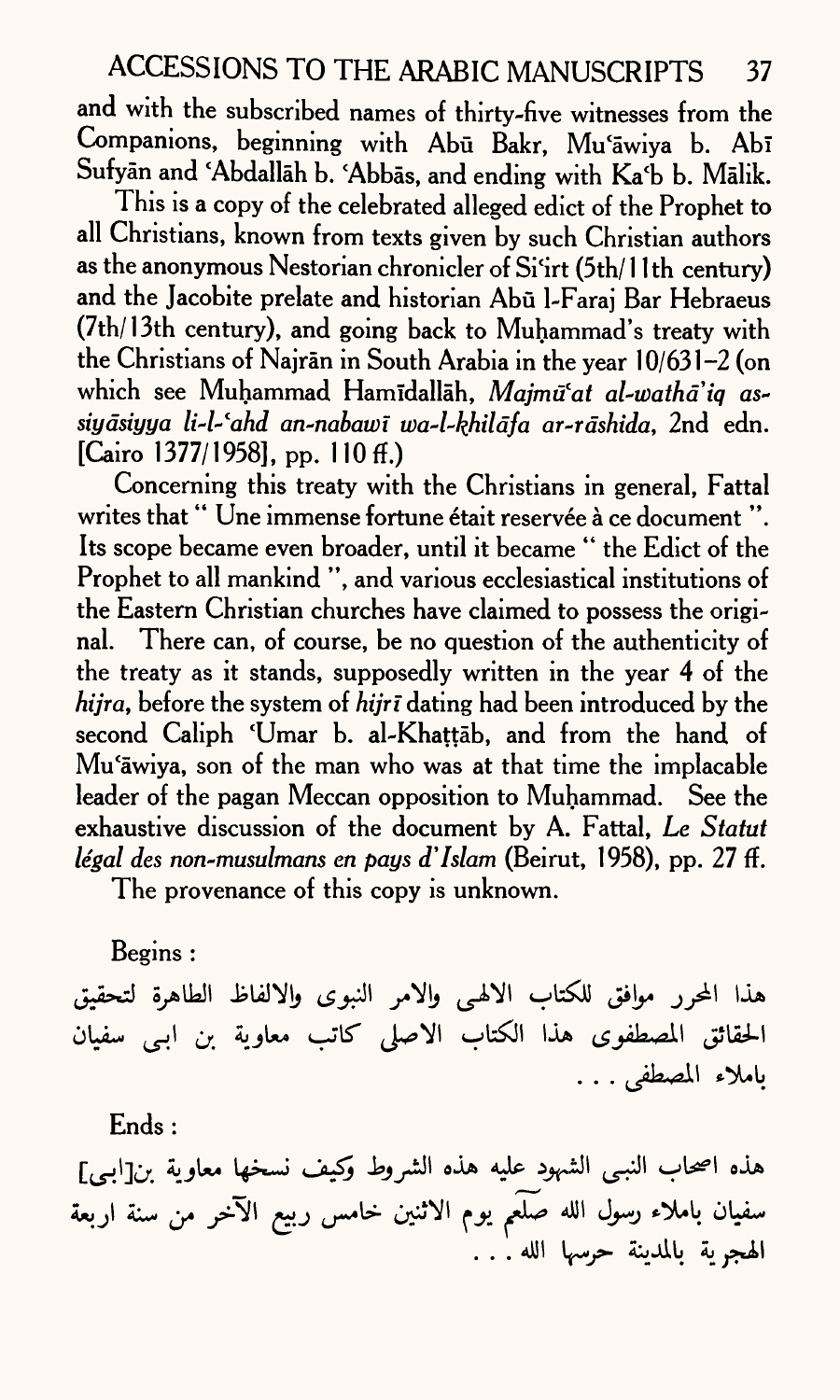and with the subscribed names of thirty-five witnesses from the Companions, beginning with Abū Bakr, Mu'āwiya b. Abī Sufyan and 'Abdallah b. 'Abbas, and ending with Ka'b b. Malik.

This is a copy of the celebrated alleged edict of the Prophet to all Christians, known from texts given by such Christian authors as the anonymous Nestorian chronicler of Si'irt (5th/ 1 1th century) and the Jacobite prelate and historian Abū l-Faraj Bar Hebraeus (7th/13th century), and going back to Muhammad's treaty with the Christians of Najran in South Arabia in the year 10/631-2 (on which see Muhammad Hamidallah, *Majmu'at al-watha'iq assiydsiyya li~l-fahd an-nabawi toa-l-kjhildfa ar-rdshida,* 2nd edn.  $[C<sub>airo</sub> 1377/1958]$ , pp. 110 ff.)

Concerning this treaty with the Christians in general, Fattal writes that "Une immense fortune était reservée à ce document". Its scope became even broader, until it became " the Edict of the Prophet to all mankind ", and various ecclesiastical institutions of the Eastern Christian churches have claimed to possess the original. There can, of course, be no question of the authenticity of the treaty as it stands, supposedly written in the year 4 of the *hijra*, before the system of *hijrī* dating had been introduced by the second Caliph 'Umar b. al-Khattab, and from the hand of Mu'awiya, son of the man who was at that time the implacable leader of the pagan Meccan opposition to Muhammad. See the exhaustive discussion of the document by A. Fattal, *Le Statut legal des non-musulmans en pays d' Islam* (Beirut, 1958), pp. 27 ff.

The provenance of this copy is unknown.

Begins :

هذا المحرر موافق للكتاب الالهي والامر النبوى والالفاظ الطاهرة لتحقيق الحقائق المصطفوى هذا الكتاب الاصلى كاتب معاوية بن ابي سفيان باملاء المصطفى . . .

Ends :

هذه اصحاب النبي الشهود عليه هذه الشروط وكيف نسخها معاوية بن[ابي] سفيان باملاء رسول الله صَلَّعم يوم الاثنين خامس ربيع الآخر من سنة اربعة الهجرية بالمدينة حرسها الله . . .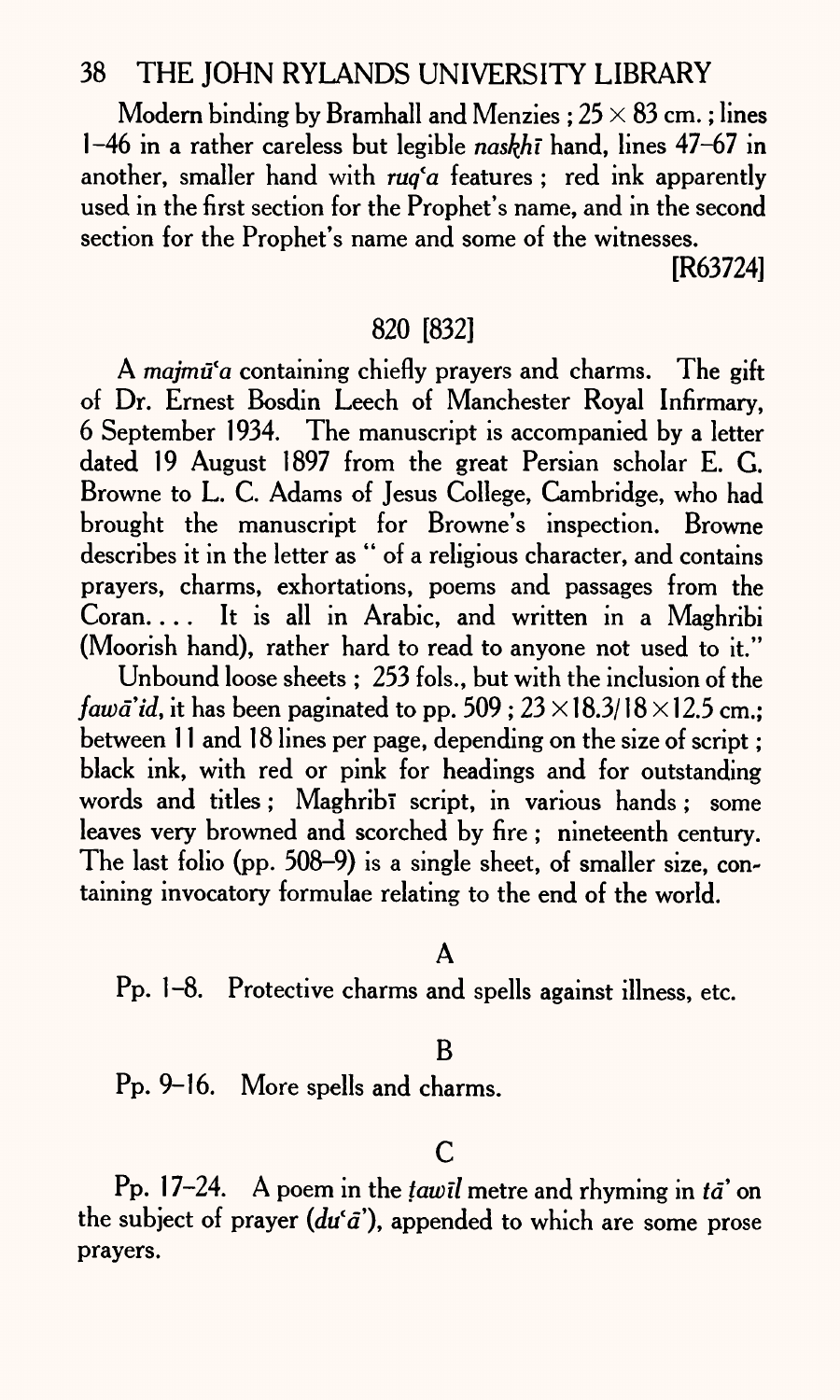Modern binding by Bramhall and Menzies :  $25 \times 83$  cm.; lines 1-46 in a rather careless but legible *naskhi* hand, lines 47-67 in another, smaller hand with *ruq'a* features ; red ink apparently used in the first section for the Prophet's name, and in the second section for the Prophet's name and some of the witnesses.

[R63724]

### 820 [832]

A *majmtfa* containing chiefly prayers and charms. The gift of Dr. Ernest Bosdin Leech of Manchester Royal Infirmary, 6 September 1934. The manuscript is accompanied by a letter dated 19 August 1897 from the great Persian scholar E. G. Browne to L. C. Adams of Jesus College, Cambridge, who had brought the manuscript for Browne's inspection. Browne describes it in the letter as " of a religious character, and contains prayers, charms, exhortations, poems and passages from the Coran. ... It is all in Arabic, and written in a Maghribi (Moorish hand), rather hard to read to anyone not used to it."

Unbound loose sheets ; 253 fols., but with the inclusion of the *fawa'id, it has been paginated to pp.*  $509 : 23 \times 18.3/18 \times 12.5$  cm.: between 11 and 18 lines per page, depending on the size of script ; black ink, with red or pink for headings and for outstanding words and titles; Maghribi script, in various hands; some leaves very browned and scorched by fire ; nineteenth century. The last folio (pp. 508-9) is a single sheet, of smaller size, containing invocatory formulae relating to the end of the world.

A

Pp. 1-8. Protective charms and spells against illness, etc.

### B

Pp. 9-16. More spells and charms.

## C

Pp. 17-24. A poem in the *tawil* metre and rhyming in *ta*' on the subject of prayer  $(du^{\alpha}\tilde{a})$ , appended to which are some prose prayers.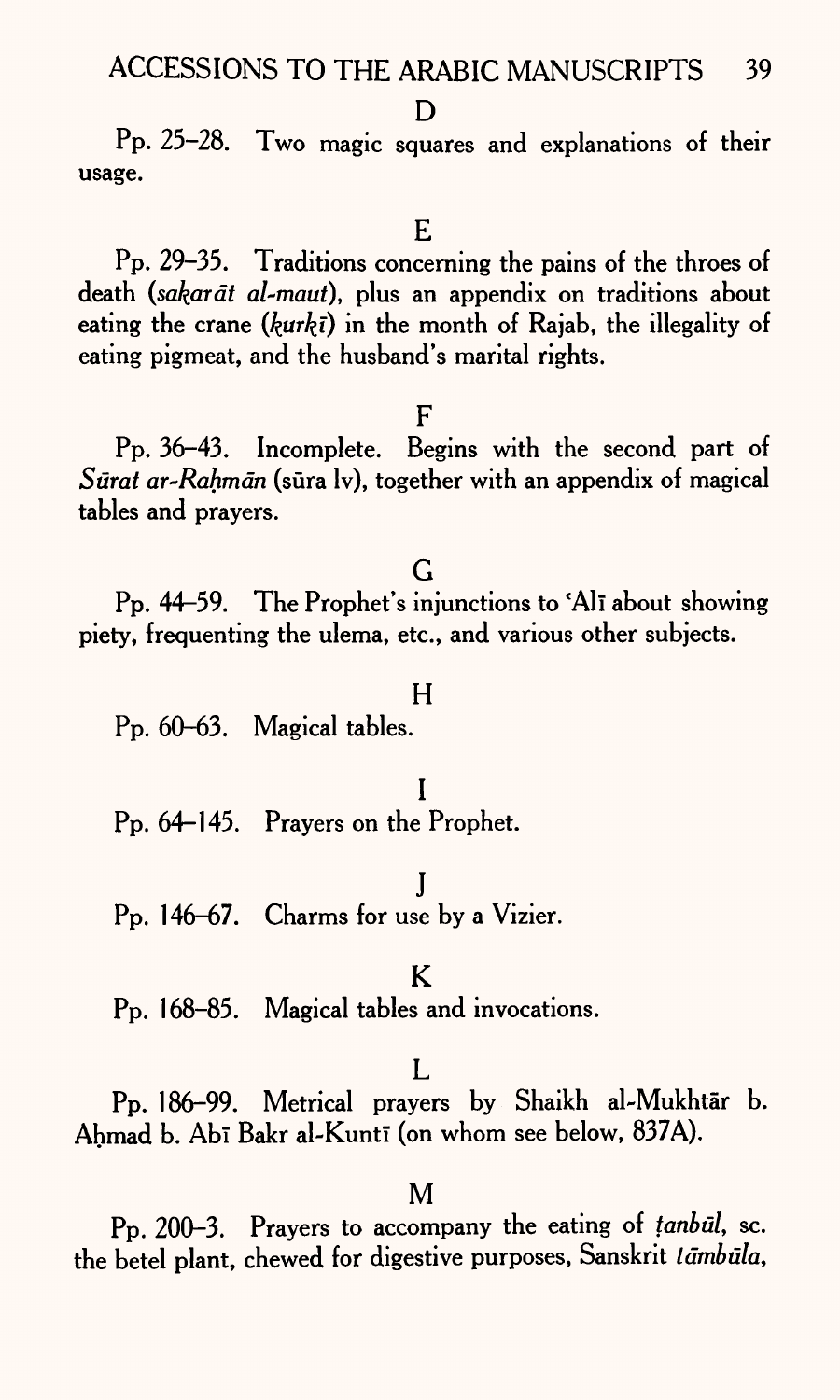#### D<sub>1</sub>

Pp. 25-28. Two magic squares and explanations of their usage.

#### E

Pp. 29-35. Traditions concerning the pains of the throes of death *(sakardt al-maut),* plus an appendix on traditions about eating the crane ( $kurt\bar{i}$ ) in the month of Rajab, the illegality of eating pigmeat, and the husband's marital rights.

### F

Pp. 36-43. Incomplete. Begins with the second part of *Surat ar-Rahmdn* (sura Iv), together with an appendix of magical tables and prayers.

### G

Pp. 44-59. The Prophet's injunctions to 'Alī about showing piety, frequenting the ulema, etc., and various other subjects.

#### H

Pp. 60-63. Magical tables.

### I

Pp. 64-145. Prayers on the Prophet.

J

Pp. 146-67. Charms for use by a Vizier.

### K

Pp. 168-85. Magical tables and invocations.

### $\mathbf{L}$

Pp. 186-99. Metrical prayers by Shaikh al-Mukhtār b. Ahmad b. Abī Bakr al-Kuntī (on whom see below, 837A).

### M

Pp. 200-3. Prayers to accompany the eating of *tanbul,* sc. the betel plant, chewed for digestive purposes, Sanskrit tāmbūla,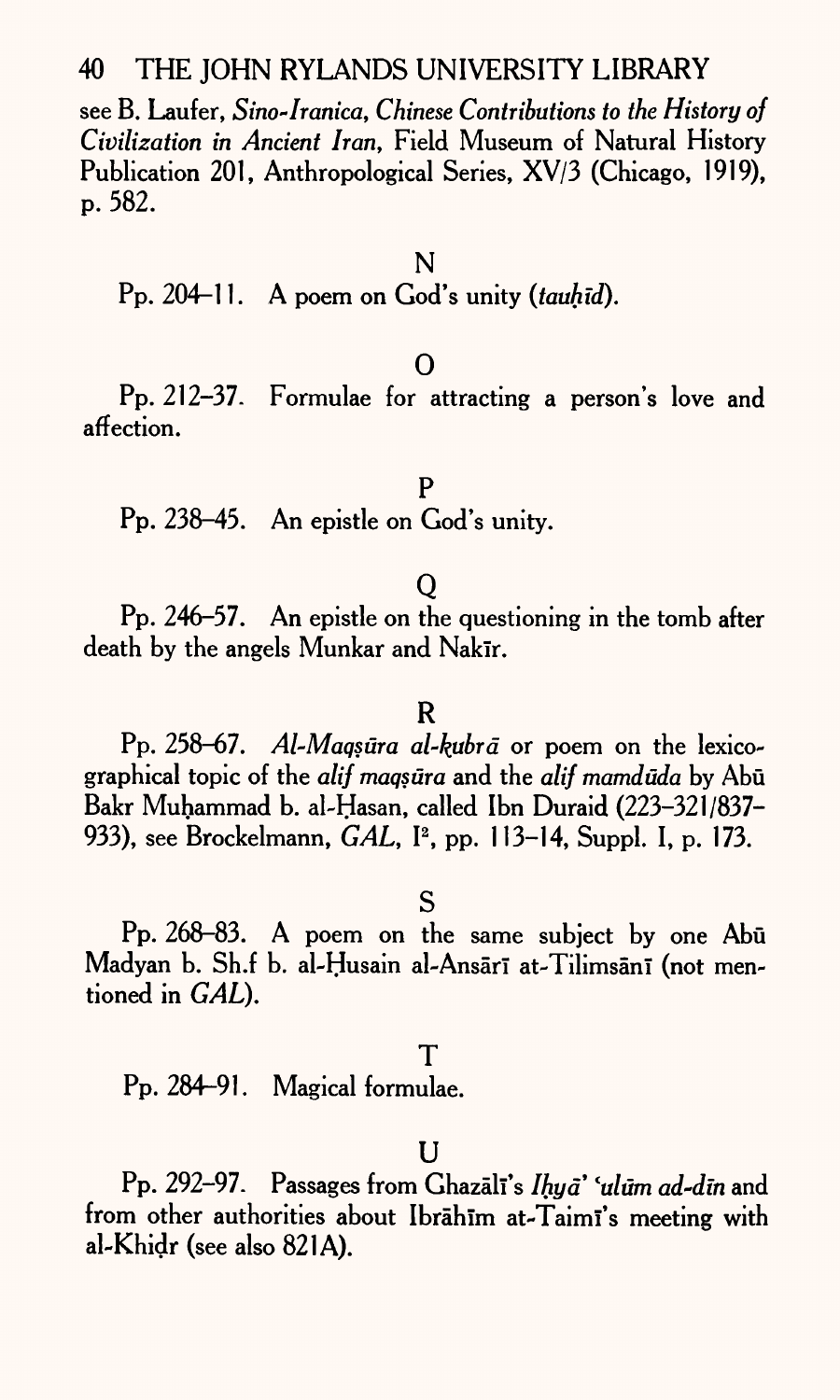see B. Laufer, *Sino~Iranica, Chinese Contributions to the History of Civilization in Ancient Iran,* Field Museum of Natural History Publication 201, Anthropological Series, XV/3 (Chicago, 1919), p. 582.

Pp. 204-11. A poem on God's unity *(tauhid).*

### 0

Pp. 212-37. Formulae for attracting a person's love and affection.

P Pp. 238-45. An epistle on God's unity.

## Q

Pp. 246-57. An epistle on the questioning in the tomb after death by the angels Munkar and Nakīr.

### R

Pp. 258-67. *Al-Maqsūra al-kubrā* or poem on the lexicographical topic of the *alif maqsura* and the *alif mamduda* by Abu Bakr Muhammad b. al-Hasan, called Ibn Duraid (223-321/837- 933), see Brockelmann, *GAL,* I2 , pp. 113-14, Suppl. I, p. 173.

## S

Pp. 268-83. A poem on the same subject by one Abu Madyan b. Sh.f b. al-Ḥusain al-Ansārī at-Tilimsānī (not mentioned in *GAL).*

## ${\sf T}$

Pp. 284-91. Magical formulae.

### $\mathbf{I}$

Pp. 292-97. Passages from Ghazali's *Ihya lulum ad-din* and from other authorities about Ibrahim at-Taimi's meeting with al-Khidr (see also 821A).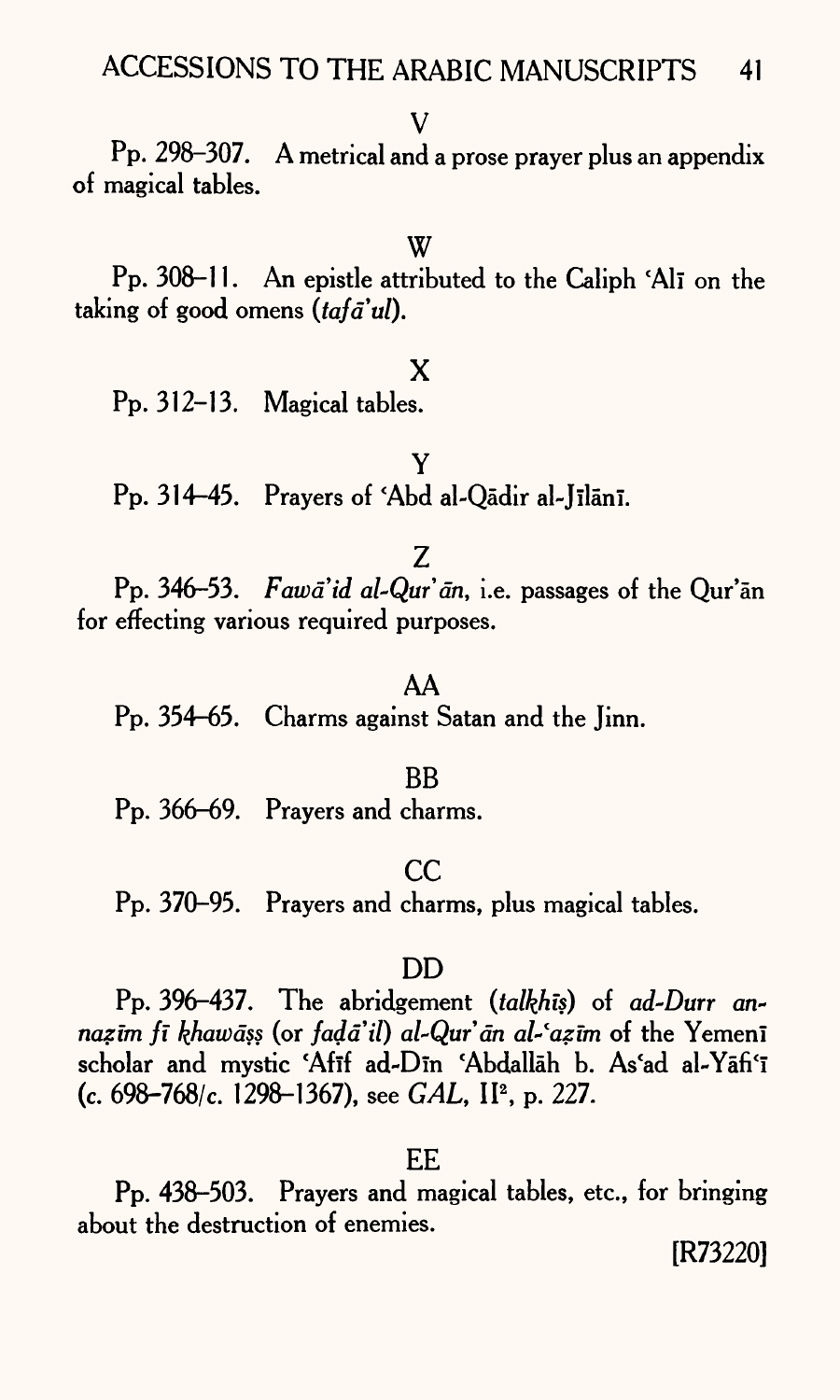### V

Pp. 298-307. A metrical and a prose prayer plus an appendix of magical tables.

### W

Pp. 308-11. An epistle attributed to the Caliph 'Alī on the taking of good omens *(tafa'ul)*.

### X

Pp. 312-13. Magical tables.

## Y Pp. 314-45. Prayers of 'Abd al-Qādir al-Jīlānī.

### Z

Pp. 346-53. *Fawa'id al-Qur'an*, *i.e.* passages of the Qur'an for effecting various required purposes.

### AA

Pp. 354-65. Charms against Satan and the Jinn.

#### BB

Pp. 366-69. Prayers and charms.

### cc

Pp. 370-95. Prayers and charms, plus magical tables.

### DD

Pp. 396-437. The abridgement *(talkhts)* of *ad-Durr annazīm fī khawāss* (or *fadā'il*) *al-Qur'ān al-'azīm* of the Yemenī scholar and mystic 'Afif ad-Din 'Abdallah b. As'ad al-Yafi'i (c. 698-768/c. 1298-1367), see *GAL,* IP, P. 227.

### EE

Pp. 438-503. Prayers and magical tables, etc., for bringing about the destruction of enemies.

[R73220]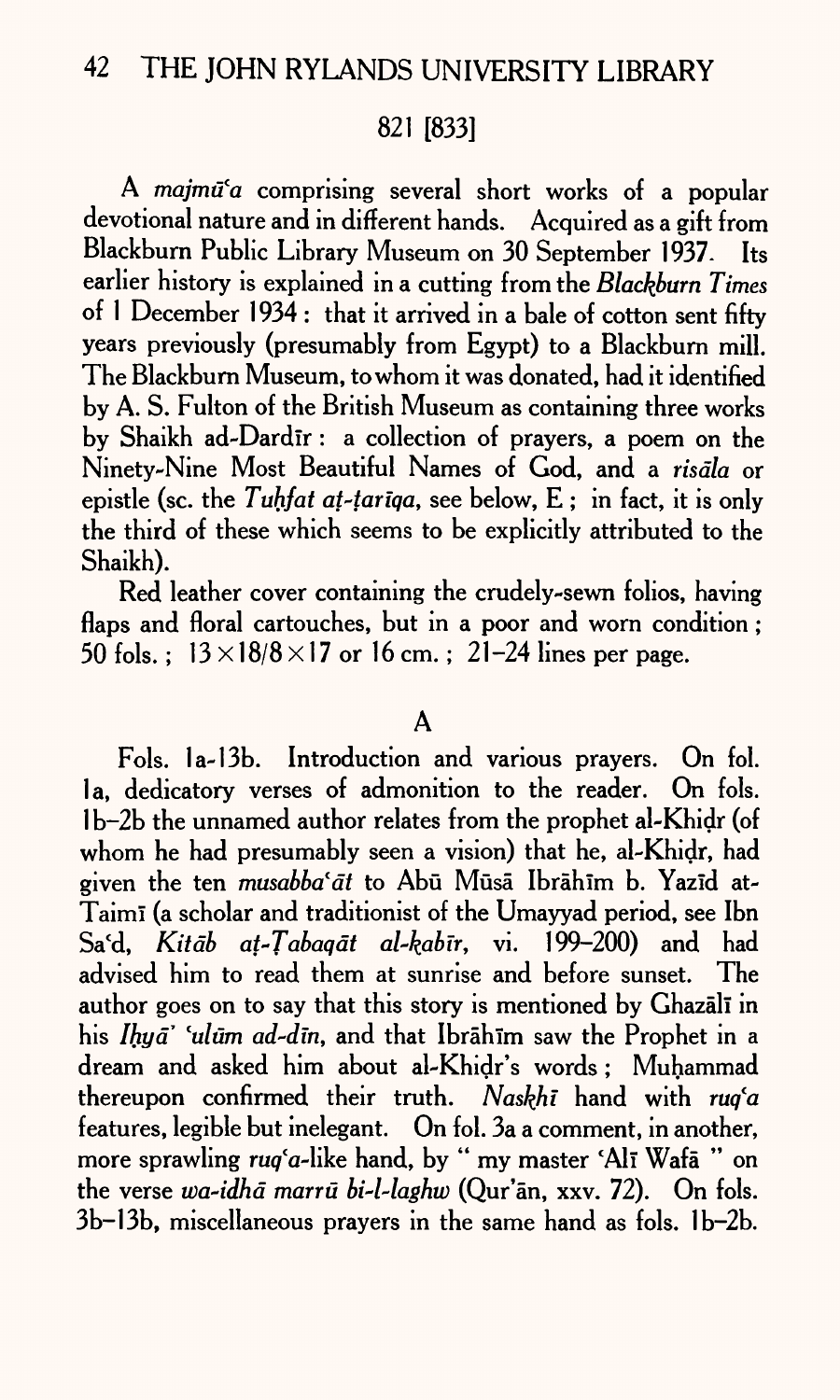## 821 [833]

A *majmū'a* comprising several short works of a popular devotional nature and in different hands. Acquired as <sup>a</sup>gift from Blackburn Public Library Museum on 30 September 1937. Its earlier history is explained in a cutting from the *Blackburn Times*  of 1 December 1934 : that it arrived in a bale of cotton sent fifty years previously (presumably from Egypt) to a Blackburn mill. The Blackburn Museum, to whom it was donated, had it identified by A. S. Fulton of the British Museum as containing three works by Shaikh ad-Dardir: a collection of prayers, a poem on the Ninety-Nine Most Beautiful Names of God, and a *risdla* or epistle (sc. the *Tuhfat at-tariqa,* see below, E ; in fact, it is only the third of these which seems to be explicitly attributed to the Shaikh).

Red leather cover containing the crudely-sewn folios, having flaps and floral cartouches, but in a poor and worn condition; 50 fols.;  $13 \times 18/8 \times 17$  or 16 cm.; 21-24 lines per page.

### $\mathbf A$

Fols. la-13b. Introduction and various prayers. On fol. la, dedicatory verses of admonition to the reader. On fols. 1 b-2b the unnamed author relates from the prophet al-Khidr (of whom he had presumably seen a vision) that he, al-Khidr, had given the ten *musabba'at* to Abū Mūsā Ibrāhīm b. Yazīd at-Taimi (a scholar and traditionist of the Umayyad period, see Ibn Sa'd, *Kitdb at-Tabaqdt al-kabir,* vi. 199-200) and had advised him to read them at sunrise and before sunset. The author goes on to say that this story is mentioned by Ghazali in his *Ihyd\* lulum ad-din,* and that Ibrahlm saw the Prophet in <sup>a</sup> dream and asked him about al-Khidr's words ; Muhammad thereupon confirmed their truth. *Naskhi* hand with *rug*<sup>'a</sup> features, legible but inelegant. On fol. 3a a comment, in another, more sprawling  $ruq^c a$ -like hand, by " my master 'Al $\bar{\text{i}}$  Wafa " on the verse *wa-idhd marru bi~l-laghu)* (Qur'an, xxv. 72). On fols. 3b-13b, miscellaneous prayers in the same hand as fols. 1b-2b.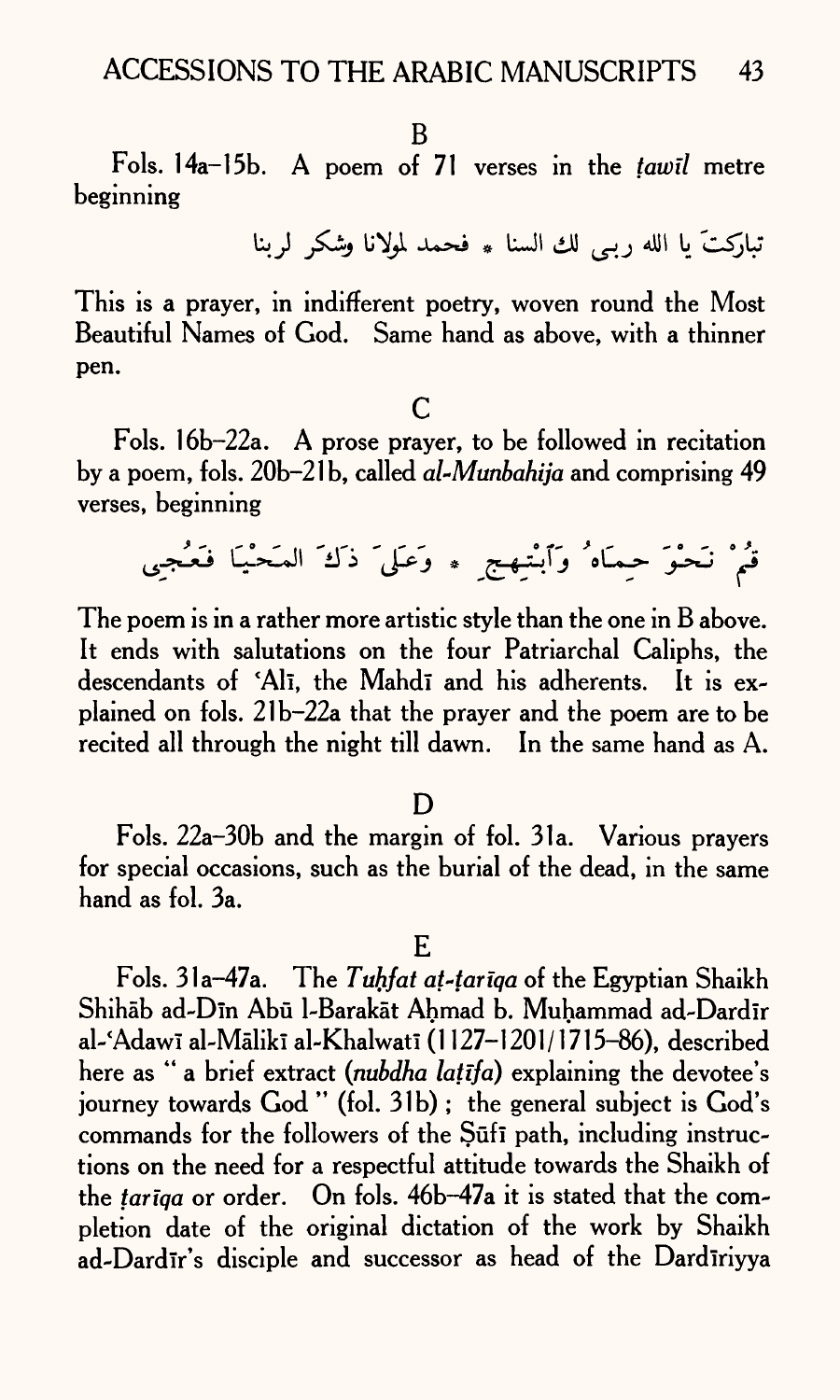B

Fols. 14a-15b. A poem of 71 verses in the *tawil* metre beginning

تباركتَ يا الله ربي لك السنا \* فحمد لمولانا وشكر لربنا

This is a prayer, in indifferent poetry, woven round the Most Beautiful Names of God. Same hand as above, with a thinner pen.

c

Fols. 16b-22a. A prose prayer, to be followed in recitation by <sup>a</sup>poem, fols. 20b-21b, called *al-Munbahija* and comprising 49 verses, beginning

قُمْ نَحْوَ حِمَاهُ وَٱبْتِهِجِ ۞ وَعَلَى ذَلَهَ المَحْيَا فَعُجِي

The poem is in a rather more artistic style than the one in B above. It ends with salutations on the four Patriarchal Caliphs, the descendants of 'Ali, the Mahdi and his adherents. It is explained on fols. 21b-22a that the prayer and the poem are to be recited all through the night till dawn. In the same hand as A.

#### D

Fols. 22a-30b and the margin of fol. 31a. Various prayers for special occasions, such as the burial of the dead, in the same hand as fol. 3a.

E

Fols. 31a-47a. The *Tuhfat at-tariqa* of the Egyptian Shaikh Shihāb ad-Dīn Abū l-Barakāt Ahmad b. Muhammad ad-Dardīr al-'Adawī al-Mālikī al-Khalwatī (1127-1201/1715-86), described here as " a brief extract *(nubdha latifa)* explaining the devotee's journey towards God " (fol. 31b) ; the general subject is God's commands for the followers of the Sufi path, including instructions on the need for a respectful attitude towards the Shaikh of the *tariqa* or order. On fols. 46b-47a it is stated that the completion date of the original dictation of the work by Shaikh ad-Dardir's disciple and successor as head of the Dardiriyya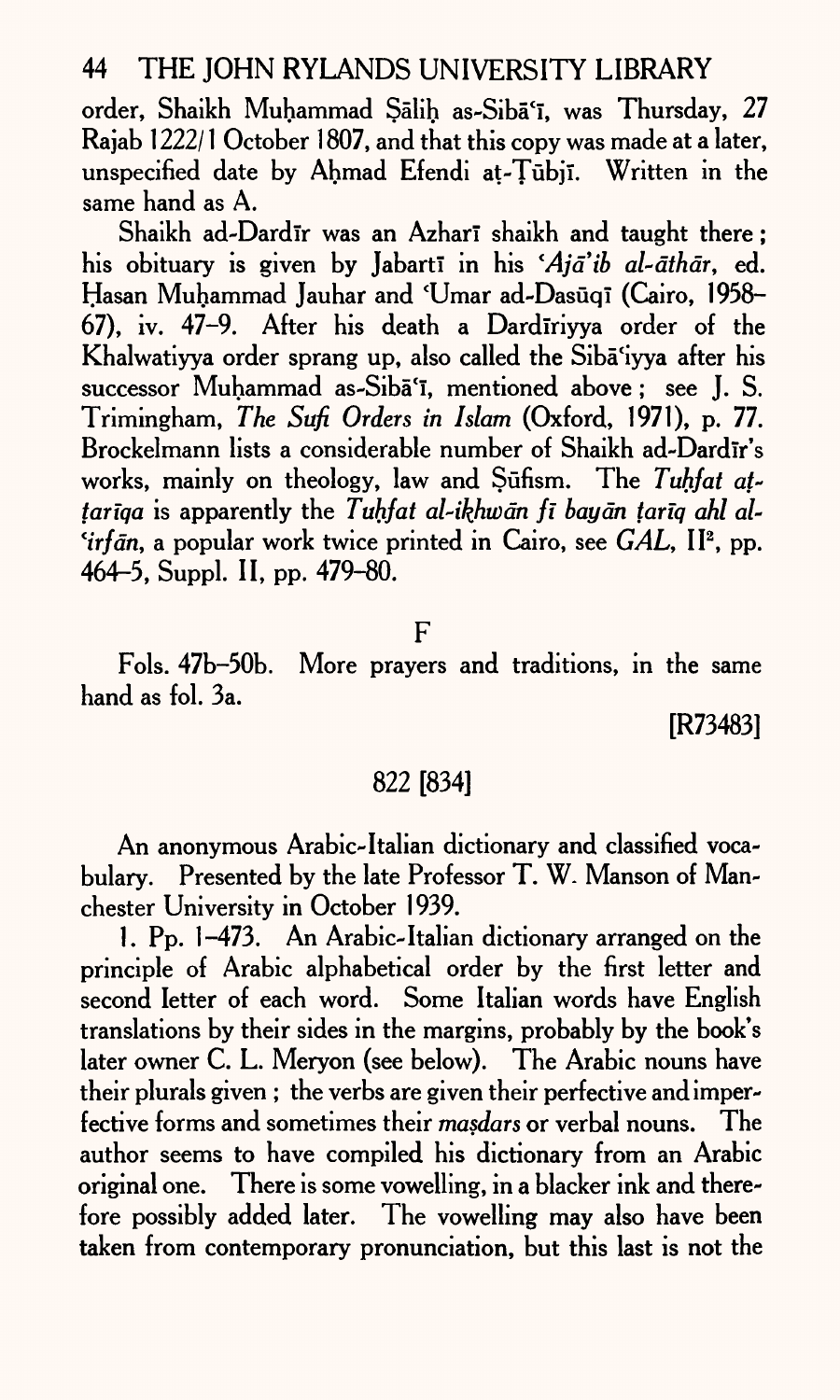order, Shaikh Muhammad Sālih as-Sibā'ī, was Thursday, 27 Rajab 1222/1 October 1807, and that this copy was made at a later, unspecified date by Ahmad Efendi at-Tūbiī. Written in the same hand as A.

Shaikh ad-Dardir was an Azhari shaikh and taught there; his obituary is given by Jabartī in his 'Aja'ib al-āthār, ed. Hasan Muhammad Jauhar and 'Umar ad-Dasūqī (Cairo, 1958-67), iv. 47-9. After his death a Dardiriyya order of the Khalwatiyya order sprang up, also called the Siba'iyya after his successor Muhammad as-Siba<sup>'</sup><sub>1</sub>, mentioned above; see I. S. Trimingham, *The Sufi Orders in Islam* (Oxford, 1971), p. 77. Brockelmann lists a considerable number of Shaikh ad-Dardīr's works, mainly on theology, law and Sufism. The *Tuhfat at~ tariqa* is apparently the *Tuhfat al-ikhwdn ft bay an tanq ahl al- 'irfān*, a popular work twice printed in Cairo, see *GAL*, II<sup>2</sup>, pp. 464-5, Suppl. II, pp. 479-80.

F

Fols. 47b-50b. More prayers and traditions, in the same hand as fol. 3a.

[R73483]

### 822 [834]

An anonymous Arabic-Italian dictionary and classified vocabulary. Presented by the late Professor T. W. Manson of Manchester University in October 1939.

1. Pp. 1-473. An Arabic-Italian dictionary arranged on the principle of Arabic alphabetical order by the first letter and second letter of each word. Some Italian words have English translations by their sides in the margins, probably by the book's later owner C. L. Meryon (see below). The Arabic nouns have their plurals given ; the verbs are given their perfective andimperfective forms and sometimes their *masdars* or verbal nouns. The author seems to have compiled his dictionary from an Arabic original one. There is some vowelling, in a blacker ink and therefore possibly added later. The vowelling may also have been taken from contemporary pronunciation, but this last is not the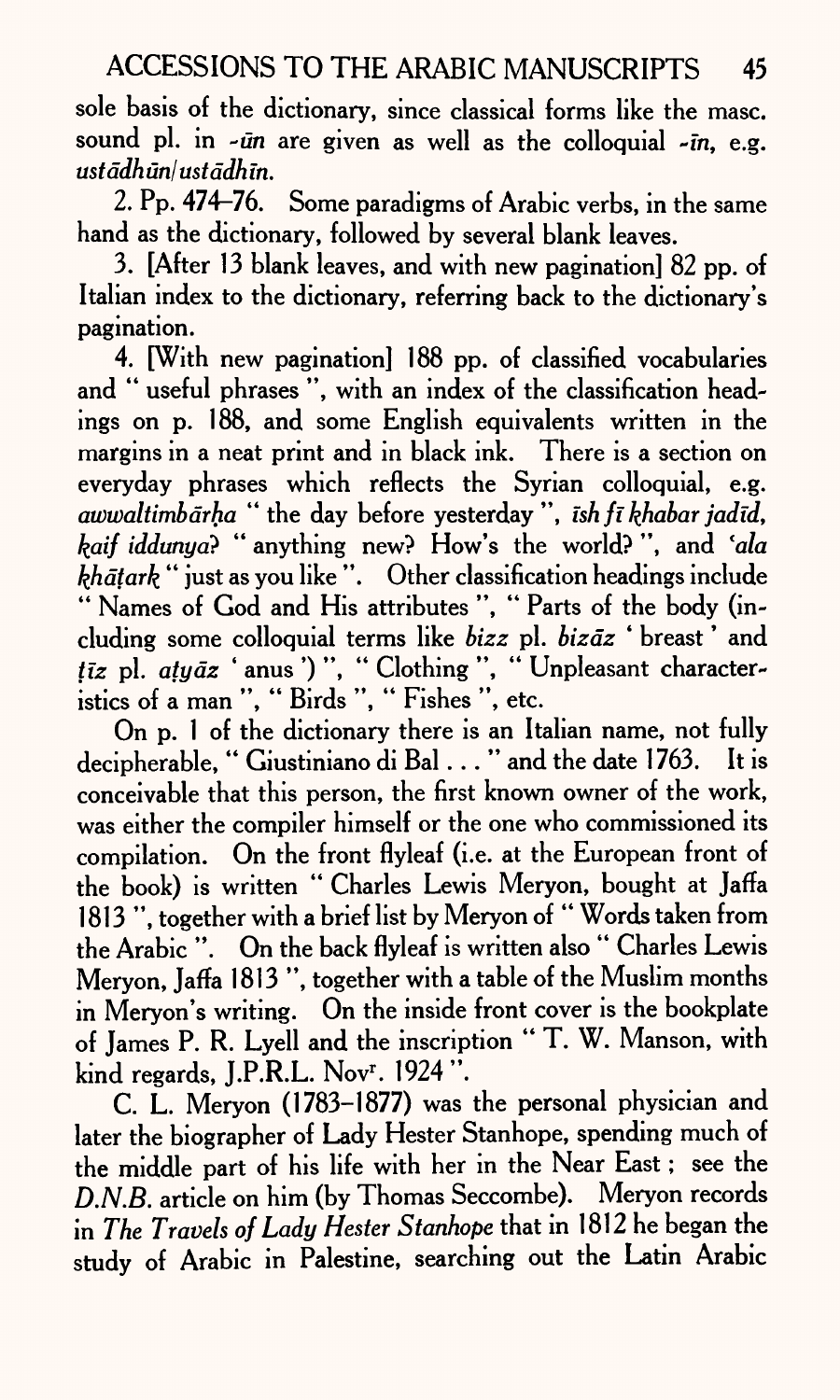sole basis of the dictionary, since classical forms like the masc. sound pl. in -*ūn* are given as well as the colloquial -*īn*, e.g. *ustddhunlustddhm.*

*2.* Pp. 474-76. Some paradigms of Arabic verbs, in the same hand as the dictionary, followed by several blank leaves.

3. [After 13 blank leaves, and with new pagination] 82 pp. of Italian index to the dictionary, referring back to the dictionary's pagination.

4. [With new pagination! 188 pp. of classified vocabularies and '\* useful phrases ", with an index of the classification headings on p. 188, and some English equivalents written in the margins in a neat print and in black ink. There is a section on everyday phrases which reflects the Syrian colloquial, e.g. *awwaltimbdrha* " the day before yesterday ", *ish fi tyabar jadid, kaif iddunya?* "anything new? How's the world?", and 'ala  $\vec{h}$  hatark " just as you like". Other classification headings include " Names of God and His attributes", "Parts of the body (including some colloquial terms like *bizz* pi. *bizdz* ' breast \* and tīz pl. atyāz 'anus')", "Clothing", "Unpleasant characteristics of a man ", " Birds ", " Fishes ", etc.

On p. 1 of the dictionary there is an Italian name, not fully decipherable, " Giustiniano di Bal..." and the date 1763. It is conceivable that this person, the first known owner of the work, was either the compiler himself or the one who commissioned its compilation. On the front flyleaf (i.e. at the European front of the book) is written "Charles Lewis Meryon, bought at Jaffa 1813", together with a brief list by Meryon of " Words taken from the Arabic ". On the back flyleaf is written also " Charles Lewis Meryon, Jaffa 1813 ", together with a table of the Muslim months in Meryon's writing. On the inside front cover is the bookplate of James P. R. Lyell and the inscription " T. W. Manson, with kind regards, J.P.R.L. Nov<sup>r</sup>. 1924 ".

C. L. Meryon (1783-1877) was the personal physician and later the biographer of Lady Hester Stanhope, spending much of the middle part of his life with her in the Near East; see the *D.N.B.* article on him (by Thomas Seccombe). Meryon records in *The Travels of Lady Hester Stanhope* that in 1812 he began the study of Arabic in Palestine, searching out the Latin Arabic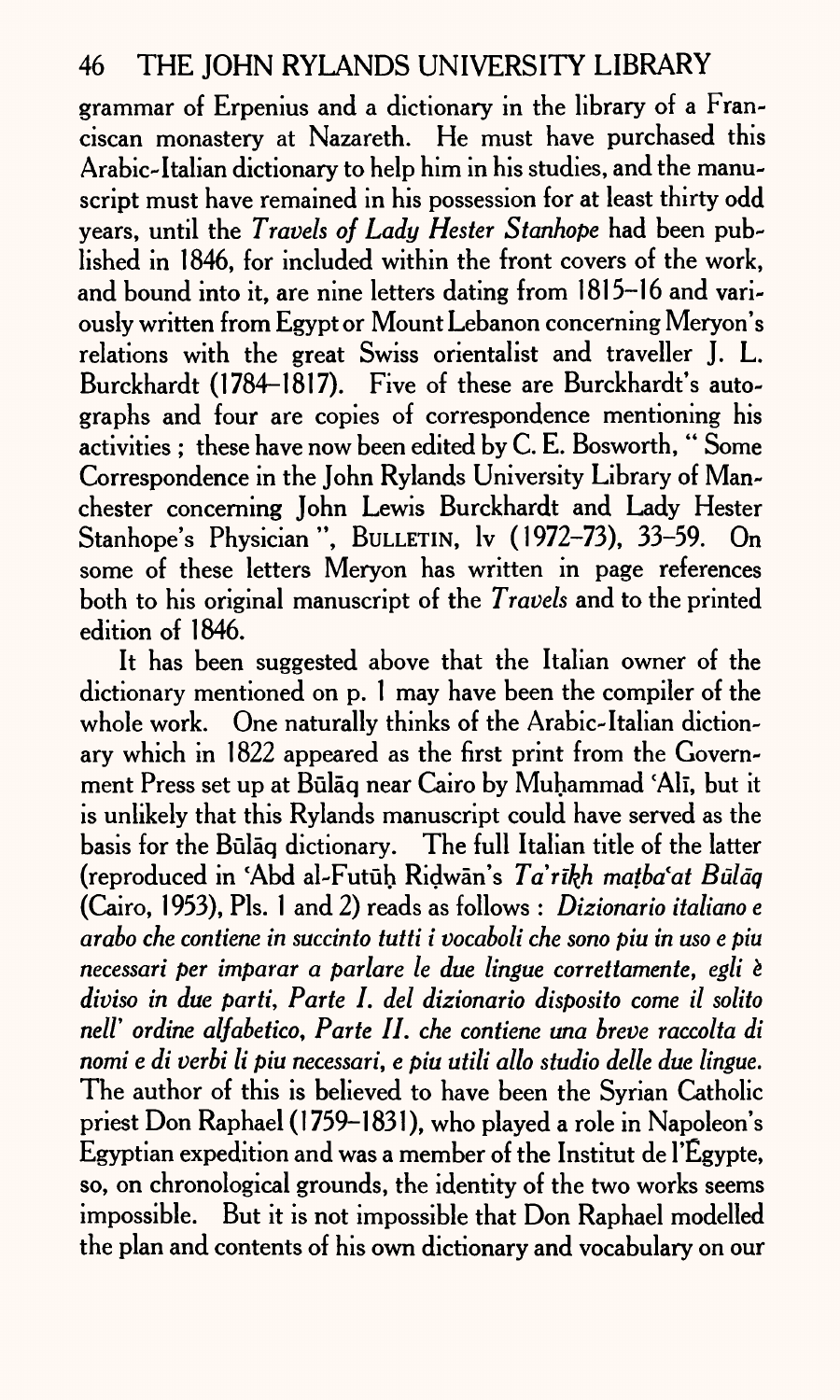grammar of Erpenius and a dictionary in the library of a Franciscan monastery at Nazareth. He must have purchased this Arabic-Italian dictionary to help him in his studies, and the manuscript must have remained in his possession for at least thirty odd years, until the *Travels of Lady Hester Stanhope* had been published in 1846, for included within the front covers of the work, and bound into it, are nine letters dating from 1815-16 and variously written from Egypt or Mount Lebanon concerning Meryon's relations with the great Swiss orientalist and traveller J. L. Burckhardt (1784-1817). Five of these are Burckhardt's autographs and four are copies of correspondence mentioning his activities ; these have now been edited by C. E. Bosworth, " Some Correspondence in the John Rylands University Library of Manchester concerning John Lewis Burckhardt and Lady Hester Stanhope's Physician", BULLETIN, lv (1972-73), 33-59. On some of these letters Meryon has written in page references both to his original manuscript of the *Travels* and to the printed edition of 1846.

It has been suggested above that the Italian owner of the dictionary mentioned on p. 1 may have been the compiler of the whole work. One naturally thinks of the Arabic-Italian dictionary which in 1822 appeared as the first print from the Government Press set up at Būlāq near Cairo by Muhammad 'Alī, but it is unlikely that this Rylands manuscript could have served as the basis for the Bulaq dictionary. The full Italian title of the latter (reproduced in \*Abd al-Futuh Ridwan's *Tarikh matba'at Bulaq*  (Cairo, 1953), Pis. 1 and 2) reads as follows : *Dizionario italiano <sup>e</sup> arabo die contiene in sucdnto tutti i vocaboli che sono piu in uso e piu necessari per imparar a parlare le due lingue correttamente, egli <sup>e</sup> diviso in due parti, Parte I. del dizionario disposito come il solito neir ordine alfabetico, Parte II. che contiene una breve raccolta di nomi e di verbi li piu necessari, e piu utili allo studio delle due lingue.*  The author of this is believed to have been the Syrian Catholic priest Don Raphael (1759-1831), who played a role in Napoleon's Egyptian expedition and was <sup>a</sup>member of the Institut de 1'Egypte, so, on chronological grounds, the identity of the two works seems impossible. But it is not impossible that Don Raphael modelled the plan and contents of his own dictionary and vocabulary on our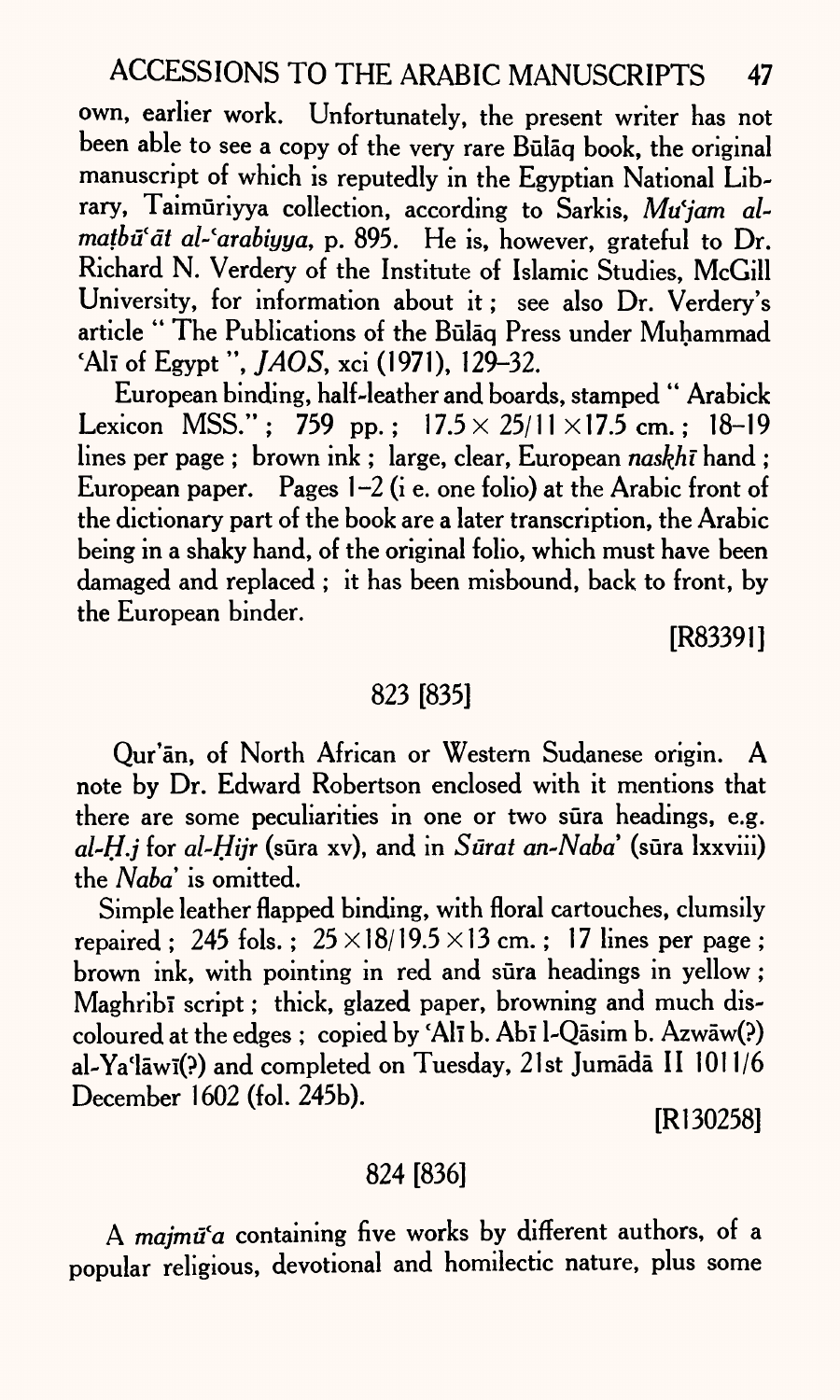own, earlier work. Unfortunately, the present writer has not been able to see a copy of the very rare Bulaq book, the original manuscript of which is reputedly in the Egyptian National Library, Taimuriyya collection, according to Sarkis, *Mu'jam al*matbū'at al-'arabiyya, p. 895. He is, however, grateful to Dr. Richard N. Verdery of the Institute of Islamic Studies, McGill University, for information about it; see also Dr. Verdery's article " The Publications of the Bulaq Press under Muhammad 'All of Egypt", *JAOS,* xci (1971), 129-32.

European binding, half-leather and boards, stamped '\* Arabick Lexicon MSS."; 759 pp.;  $17.5 \times 25/11 \times 17.5$  cm.; 18-19 lines per page ; brown ink ; large, clear, European *naskhi* hand ; European paper. Pages  $1-2$  (i e. one folio) at the Arabic front of the dictionary part of the book are a later transcription, the Arabic being in a shaky hand, of the original folio, which must have been damaged and replaced ; it has been misbound, back to front, by the European binder.

[R83391]

## 823 [835]

Qur'an, of North African or Western Sudanese origin. A note by Dr. Edward Robertson enclosed with it mentions that there are some peculiarities in one or two sura headings, e.g. *al~H.j* for *al-Hijr* (sura xv), and in *Surat an-Naba* (sura Ixxviii) the *Naba*' is omitted.

Simple leather flapped binding, with floral cartouches, clumsily repaired; 245 fols.;  $25 \times 18/19.5 \times 13$  cm.; 17 lines per page; brown ink, with pointing in red and sura headings in yellow; Maghribi script: thick, glazed paper, browning and much discoloured at the edges ; copied by 'Ali b. Abi l-Qasim b. Azwaw(?) al-Ya'lāwī(?) and completed on Tuesday, 21st Jumādā II 1011/6 December 1602 (fol. 245b).

[Rl 30258]

## 824 [836]

A *majmū'a* containing five works by different authors, of a popular religious, devotional and homilectic nature, plus some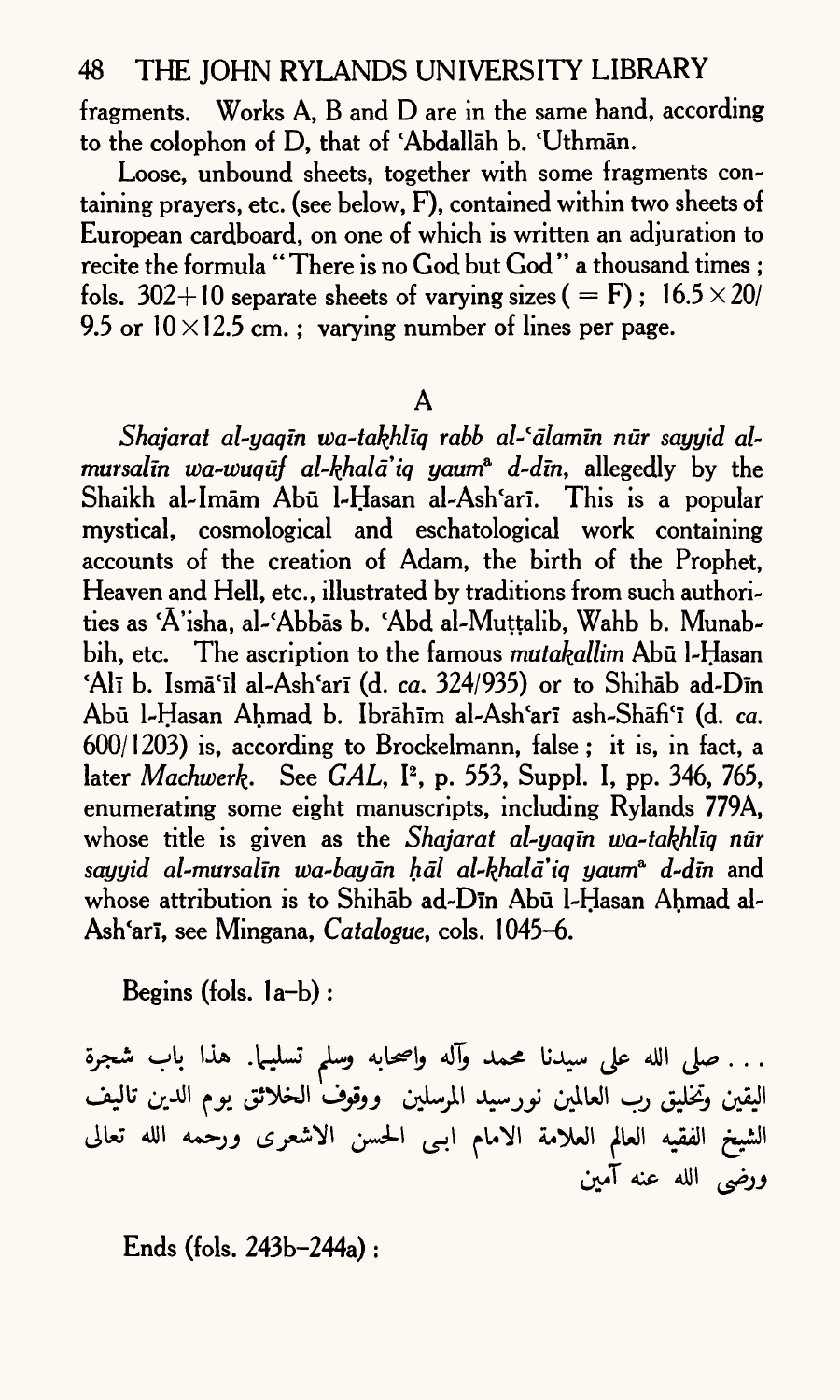fragments. Works A, B and D are in the same hand, according to the colophon of D, that of 'Abdallah b. 'Uthman.

Loose, unbound sheets, together with some fragments containing prayers, etc. (see below, F), contained within two sheets of European cardboard, on one of which is written an adjuration to recite the formula " There is no God but God " a thousand times ; fols. 302+10 separate sheets of varying sizes (  $=$  F): 16.5  $\times$  20/ 9.5 or  $10 \times 12.5$  cm. ; varying number of lines per page.

A

*Shajarat al-yaqin wa-takhliq rabb al-fdlamin nur sayyid al~ mursalm wa-wuquf al-khald'iq yawn\* d~din,* allegedly by the Shaikh al-Imam Abu 1-Hasan al-Ash'ari. This is a popular mystical, cosmological and eschatological work containing accounts of the creation of Adam, the birth of the Prophet, Heaven and Hell, etc., illustrated by traditions from such authorities as 'A'isha, al-'Abbas b. 'Abd al-Muttalib, Wahb b. Munabbih, etc. The ascription to the famous *mutakallim* Abū l-Hasan 'Alī b. Ismā'īl al-Ash'arī (d. *ca.* 324/935) or to Shihāb ad-Dīn Abu 1-Hasan Ahmad b. Ibrahlm al-Ash'ari ash-Shafi'I (d. *ca.*   $600/1203$ ) is, according to Brockelmann, false; it is, in fact, a later *Machwerk-* See *GAL,* I2 , p. 553, Suppl. I, pp. 346, 765, enumerating some eight manuscripts, including Rylands 779A, whose title is given as the *Shajarat al-yaqtn wa-takhliq nur sayyid al-mursalm wa-baydn hdl al-khala'iq yaurr? d-dm* and whose attribution is to Shihab ad-Din Abū l-Hasan Ahmad al-Ash'ari, see Mingana, *Catalogue*, cols. 1045–6.

Begins (fols. la-b) :

. . . صلى الله على سيدنا محمد وآله واصحابه وسلم تسليـما. هذا باب شجرة<br>اليقين وتخليق رب العالمين نورسيد المرسلين ووقوف الخلائق يوم الدين تاليف الشيخ الفقيه العالم العلامة الامام ابـى الحسن الاشعرى ورحْمه الله تعالى<br>ورضى الله عنه آمين

Ends (fols. 243b-244a) :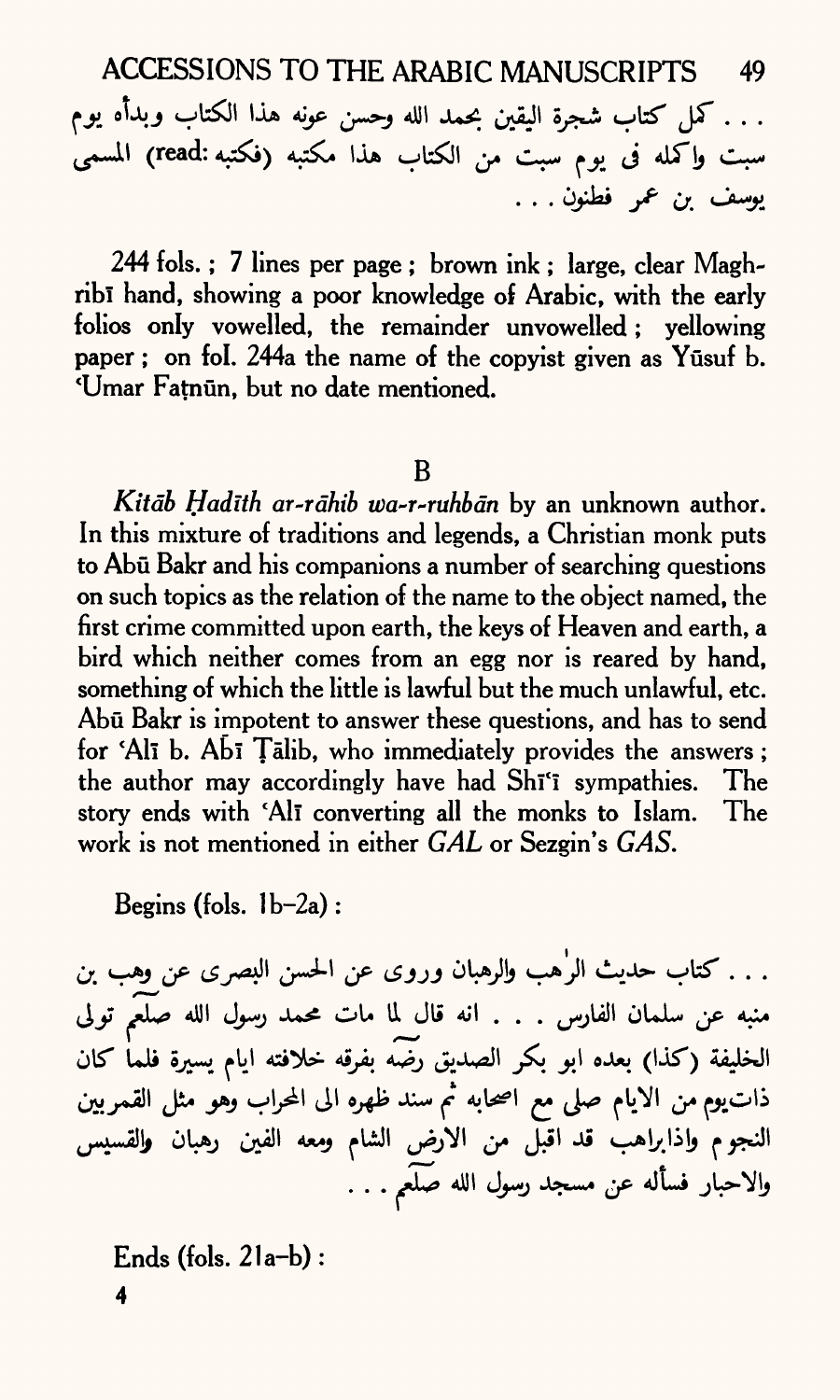ACCESSIONS TO THE ARABIC MANUSCRIPTS 49

. . . كمل كتاب شجرة اليقين بحمد الله وحسن عونه هذا الكتاب وبدأه يوم سبت واكمله في يوم سبت من الكتاب هذا مكتبه (فكتبه:read) المسمى يوسف بن عمر فطنون . . .

244 fols. ; 7 lines per page ; brown ink ; large, clear Maghribi hand, showing a poor knowledge of Arabic, with the early folios only vowelled, the remainder unvowelled ; yellowing paper ; on fol. 244a the name of the copyist given as Yūsuf b. 'Umar Fatnün, but no date mentioned.

#### B

Kitāb Hadīth ar-rāhib wa-r-ruhbān by an unknown author. In this mixture of traditions and legends, a Christian monk puts to Abu Bakr and his companions a number of searching questions on such topics as the relation of the name to the object named, the first crime committed upon earth, the keys of Heaven and earth, <sup>a</sup> bird which neither comes from an egg nor is reared by hand, something of which the little is lawful but the much unlawful, etc. Abu Bakr is impotent to answer these questions, and has to send for 'Ali b. Abi Talib, who immediately provides the answers; the author may accordingly have had Shi'i sympathies. The story ends with 'Ali converting all the monks to Islam. The work is not mentioned in either *GAL* or Sezgin's *GAS.*

Begins (fols.  $1b-2a$ ):

. . . كتاب حديث الرٰهب والرهبان وروى عن الحسن البصرى عن وهب بن منبه عن سلمان الفارس . . . انه قال لما مات محمد رسول الله صلعم تولى الخليفة (كذا) بعده ابو بكر الصديق رضه بفرقه خلافته ايام يسيرة فلما كان ذات يوم من الايام صلى مع اصحابه ثم سند ظهره الى المحراب وهو مثل القمربين النجوم واذابراهب قد اقبّل من الارض الشام ومعه الفين رهبان **و**القسيس والاحبار فسأله عن مسجد رسول الله صَلَعَم . . .

**Ends (fols. 21a-b) :**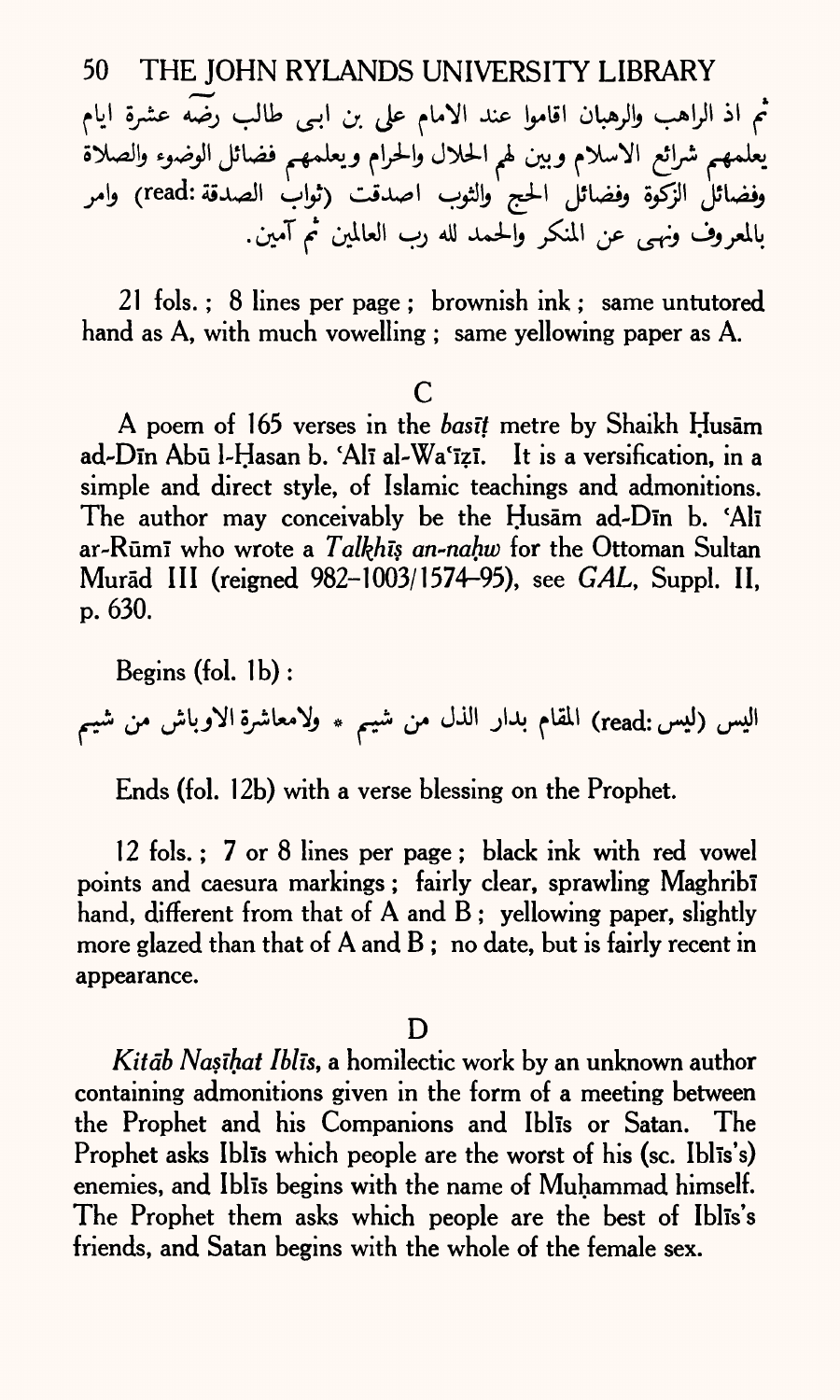يعلمهم شرائع الاسلام وبين لهم الحلال والحرام ويعلمهم فضائل الوضوء والصلاة وفضائلْ الزّكّوة وفضائل الحج والثوب اصدقت (ثوابْ الصدقة:read) وامر بالمعروف ونهي عن المنكر والحمد لله رب العالمين ثم آمين.

21 fols. ; 8 lines *per page ;* brownish ink ; same untutored hand as A, with much vowelling ; same yellowing *paper* as A.

### *c*

A poem of 165 verses in the *basit* metre by Shaikh Husam ad-Dīn Abū l-Hasan b. Alī al-Wa'īzī. It is a versification, in a simple and direct style, of Islamic teachings and admonitions. The author may conceivably be the Husam ad-Din b. 'Ali ar-Rumi who wrote a *Talkhis an-nahw* for the Ottoman Sultan Murād III (reigned 982-1003/1574-95), see *GAL*, Suppl. II, *p.* 630.

Begins (fol. Ib) : اليس (ليس <sub>.read</sub>) المقام بدار الذل من شيبم ٭ ولامعاشرة الاوباش من شيبم

Ends (fol. 12b) with a verse blessing on the Prophet.

12 fols.; 7 or 8 lines per page; black ink with red vowel points and caesura markings; fairly clear, sprawling Maghribi hand, different from that of A and B; yellowing paper, slightly more glazed than that of A and B; no date, but is fairly recent in appearance.

### D

*Kitab Nasihat Iblis,* a homilectic work by an unknown author containing admonitions given in the form of a meeting between the Prophet and his Companions and Iblis or Satan. The Prophet asks Iblis which people are the worst of his (sc. Iblis's) enemies, and Iblis begins with the name of Muhammad himself. The Prophet them asks which people are the best of Iblis's friends, and Satan begins with the whole of the female sex.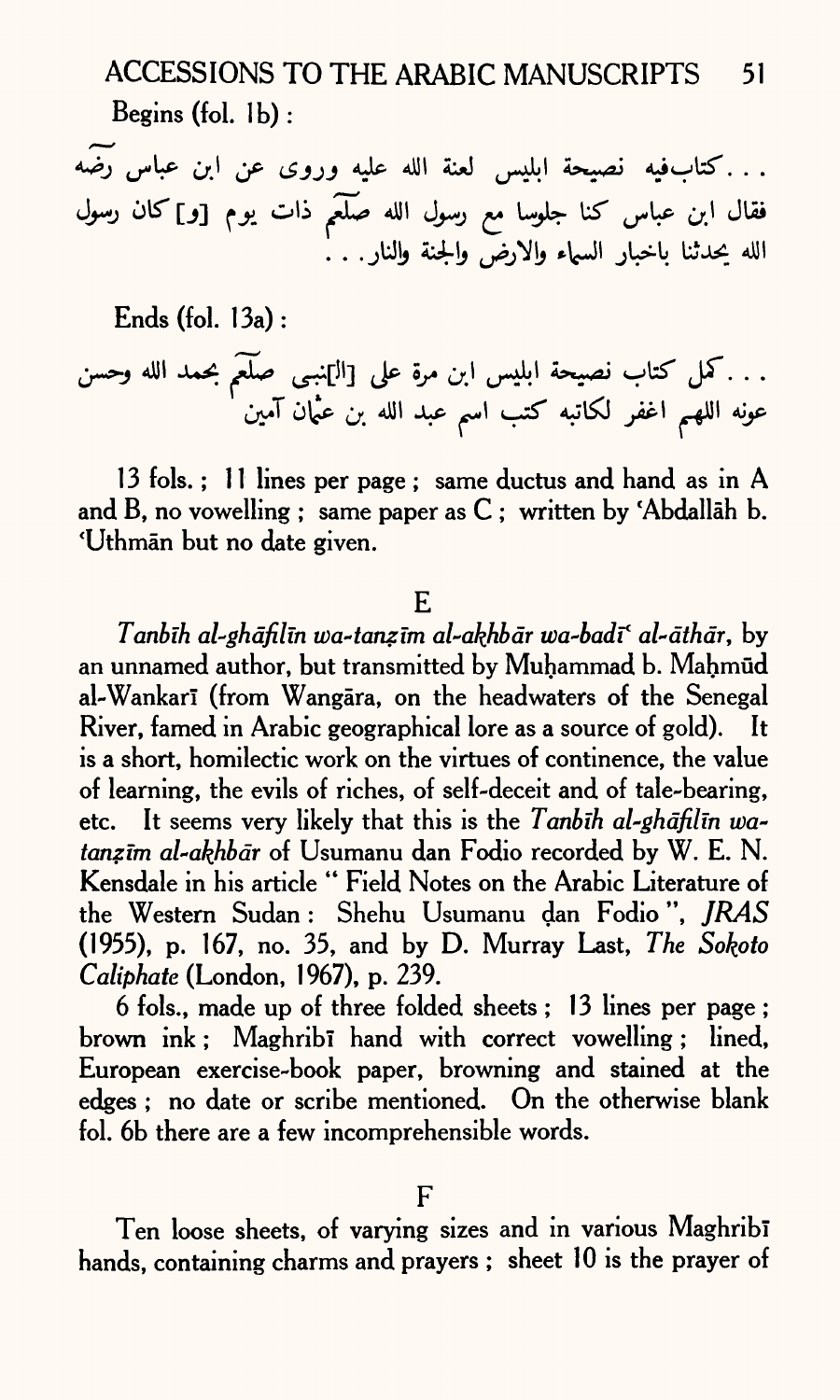ACCESSIONS TO THE ARABIC MANUSCRIPTS 51 Begins (fol.  $1<sub>b</sub>$ ):

. . . كتاب فيه نصيحة ابليس لعنة الله عليه وروى عن ابن عباس رضه الله صلع<sub>ه</sub> ذات يحدثنا باخبار السهاء والارض والجنة والنار . . .

Ends (fol. 13a):

4UI **\*U£ ^U ^[Jl]** JP **0^4 ^1 ^1 A^js^** <-»fcT **JT. . .** •T" \* l Ot\*- t/. ^' •\*•\* >e^'

13 fols.; 11 lines per page; same ductus and hand as in A and B, no vowelling ; same paper as  $C$  ; written by 'Abdallah b. 'Uthman but no date given.

E

*Tanbih al-ghdfilin wa-tanzlm al-akhbdr wa-badif al-dthdr,* by an unnamed author, but transmitted by Muhammad b. Mahmūd al-Wankari (from Wangara, on the headwaters of the Senegal River, famed in Arabic geographical lore as a source of gold). It is a short, homilectic work on the virtues of continence, the value of learning, the evils of riches, of self-deceit and of tale-bearing, etc. It seems very likely that this is the *Tanbih al-ghdfilm watanzīm al-akhbār* of Usumanu dan Fodio recorded by W. E. N. Kensdale in his article " Field Notes on the Arabic Literature of the Western Sudan : Shehu Usumanu dan Fodio ", *JRAS*  (1955), p. 167, no. 35, and by D. Murray Last, *The Sokpto Caliphate* (London, 1967), p. 239.

6 fols., made up of three folded sheets ; 13 lines per page ; brown ink ; Maghribi hand with correct vowelling ; lined, European exercise-book paper, browning and stained at the edges ; no date or scribe mentioned. On the otherwise blank fol. 6b there are a few incomprehensible words.

Ten loose sheets, of varying sizes and in various Maghribi hands, containing charms and prayers ; sheet 10 is the prayer of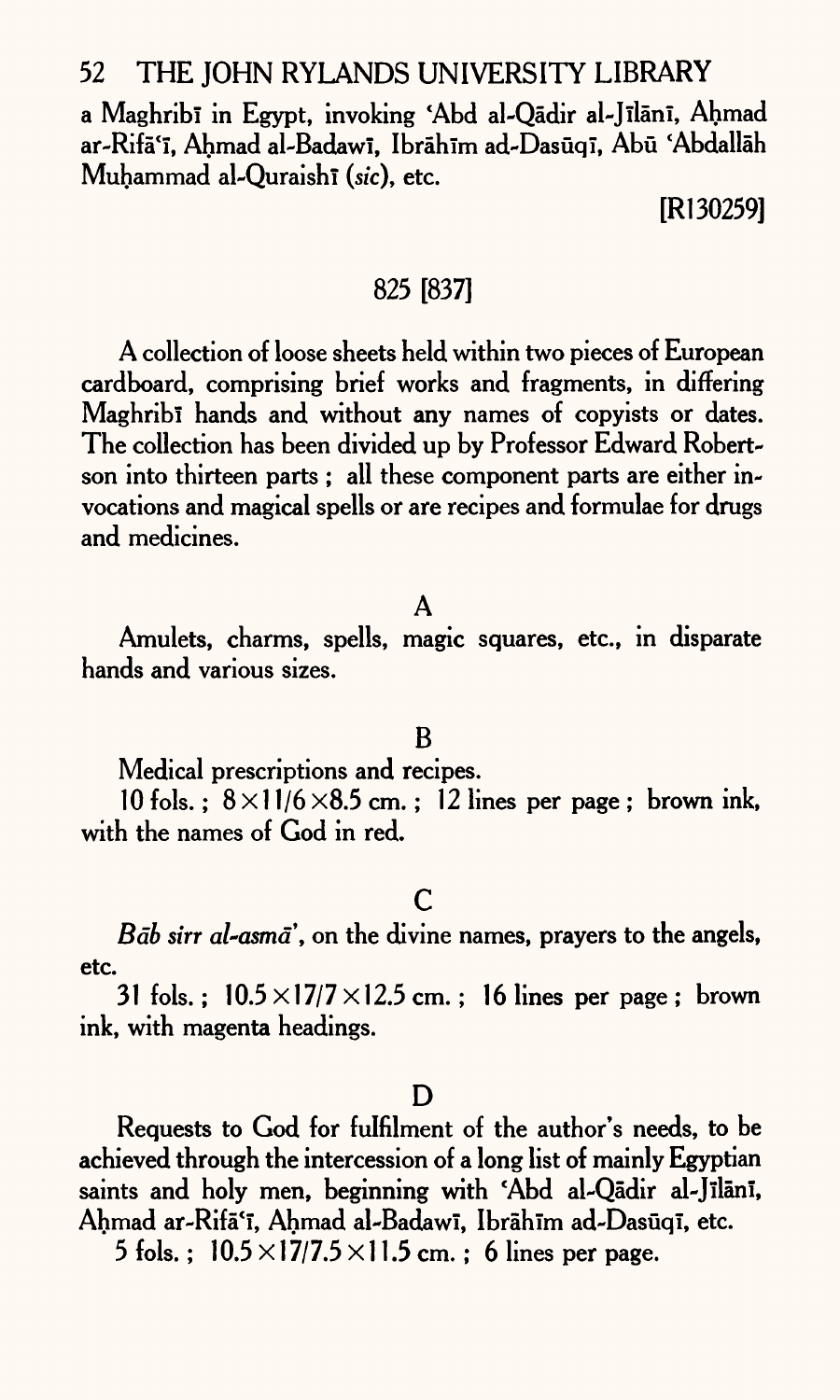a Maghribī in Egypt, invoking 'Abd al-Qādir al-Jīlānī, Ahmad ar-Rifā'ī, Ahmad al-Badawī, Ibrāhīm ad-Dasūqī, Abū 'Abdallāh Muhammad al-Quraishi (sic), etc.

[Rl 30259]

### 825 [837]

A collection of loose sheets held within two pieces of European cardboard, comprising brief works and fragments, in differing Maghribi hands and without any names of copyists or dates. The collection has been divided up by Professor Edward Robertson into thirteen parts ; all these component parts are either invocations and magical spells or are recipes and formulae for drugs and medicines.

### A

Amulets, charms, spells, magic squares, etc., in disparate hands and various sizes.

### B

Medical prescriptions and recipes.

 $10$  fols.:  $8 \times 11/6 \times 8.5$  cm.: 12 lines per page: brown ink, with the names of God in red.

## c

*Bab sin al~asma,* on the divine names, prayers to the angels, etc.

31 fols. ;  $10.5 \times 17/7 \times 12.5$  cm. ; 16 lines per page ; brown ink, with magenta headings.

#### D

Requests to God for fulfilment of the author's needs, to be achieved through the intercession of a long list of mainly Egyptian saints and holy men, beginning with 'Abd al-Qādir al-Jīlānī, Ahmad ar-Rifā'ī, Ahmad al-Badawī, Ibrāhīm ad-Dasūqī, etc.

5 fols.:  $10.5 \times 17/7.5 \times 11.5$  cm.; 6 lines per page.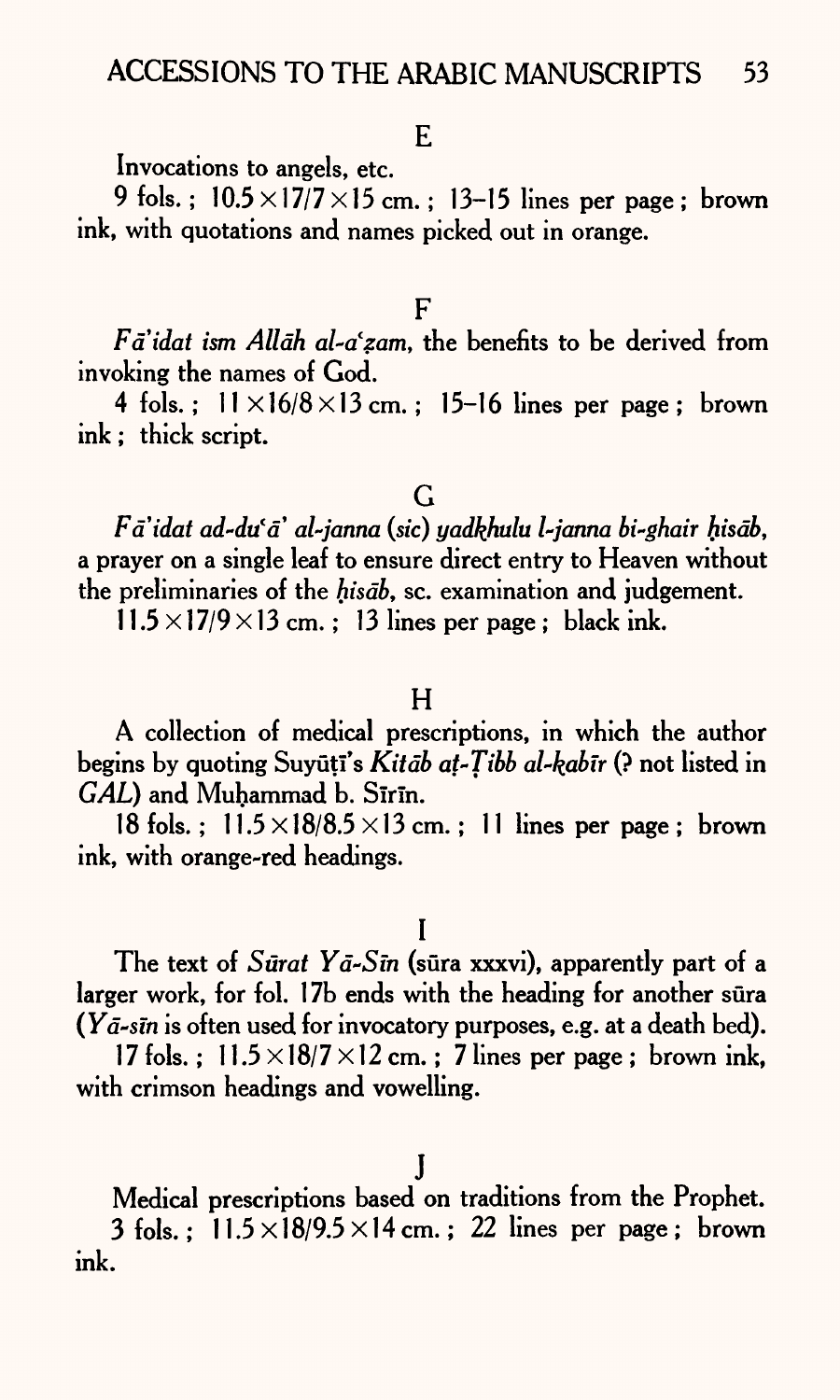Invocations to angels, etc.

9 fols.;  $10.5 \times 17/7 \times 15$  cm.; 13-15 lines per page; brown ink, with quotations and names picked out in orange.

F

*Faidat ism Allah al~afzam,* the benefits to be derived from invoking the names of God.

4 fols.;  $11 \times 16/8 \times 13$  cm.; 15-16 lines per page; brown ink; thick script.

## G

*Fd'idat ad-du'd' al-janna (sic) yadkhulu l-janna bi-ghair hisdb,*  a prayer on a single leaf to ensure direct entry to Heaven without the preliminaries of the *hisdb,* sc. examination and judgement.

 $11.5 \times 17/9 \times 13$  cm.; 13 lines per page; black ink.

### $H$

A collection of medical prescriptions, in which the author begins by quoting Suyutl's *Kitdb at-Tibb al-kabir* (? not listed in *GAL*) and Muhammad b. Sirin.

18 fols.:  $11.5 \times 18/8.5 \times 13$  cm.: 11 lines per page: brown ink, with orange-red headings.

I

The text of *Surat Yd-Sin* (sura xxxvi), apparently part of a larger work, for fol. 17b ends with the heading for another sura *(Yd~sin* is often used for invocatory purposes, e.g. at a death bed).

17 fols.:  $11.5 \times 18/7 \times 12$  cm.: 7 lines per page: brown ink. with crimson headings and vowelling.

Medical prescriptions based on traditions from the Prophet. 3 fols.;  $11.5 \times 18/9.5 \times 14$  cm.; 22 lines per page; brown ink.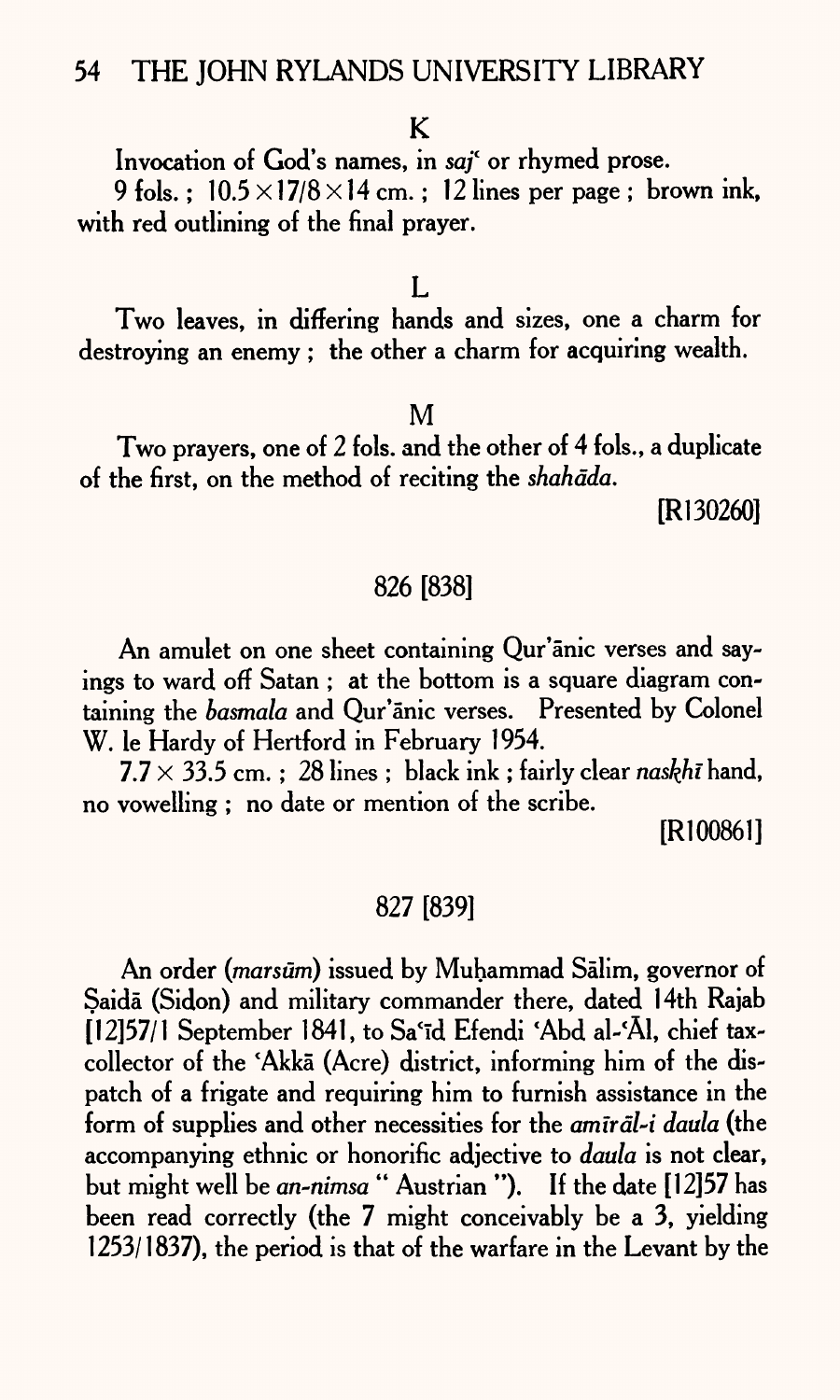## K

Invocation of God's names, in *saf* or rhymed prose.

9 fols.;  $10.5 \times 17/8 \times 14$  cm.; 12 lines per page; brown ink, with red outlining of the final prayer.

#### $\mathbf{L}$

Two leaves, in differing hands and sizes, one a charm for destroying an enemy ; the other a charm for acquiring wealth.

#### M

Two prayers, one of 2 fols. and the other of 4 fols., a duplicate of the first, on the method of reciting the *shahdda.*

[Rl 30260]

### 826 [838]

An amulet on one sheet containing Qur'anic verses and sayings to ward off Satan ; at the bottom is a square diagram containing the *basmala* and Qur'anic verses. Presented by Colonel W. le Hardy of Hertford in February 1954.

 $7.7 \times 33.5$  cm.: 28 lines ; black ink; fairly clear *naskhi* hand, no vowelling ; no date or mention of the scribe.

[R100861]

### 827 [839]

An order *(marsum)* issued by Muhammad Salim, governor of Saida (Sidon) and military commander there, dated 14th Rajab [12]57/1 September 1841, to Sa'īd Efendi 'Abd al-'Al, chief taxcollector of the 'Akka (Acre) district, informing him of the dispatch of a frigate and requiring him to furnish assistance in the form of supplies and other necessities for the *amirdl-i daula* (the accompanying ethnic or honorific adjective to *daula* is not clear, but might well be *an-nimsa* " Austrian "). If the date [12]57 has been read correctly (the 7 might conceivably be a 3, yielding 1253/1837), the period is that of the warfare in the Levant by the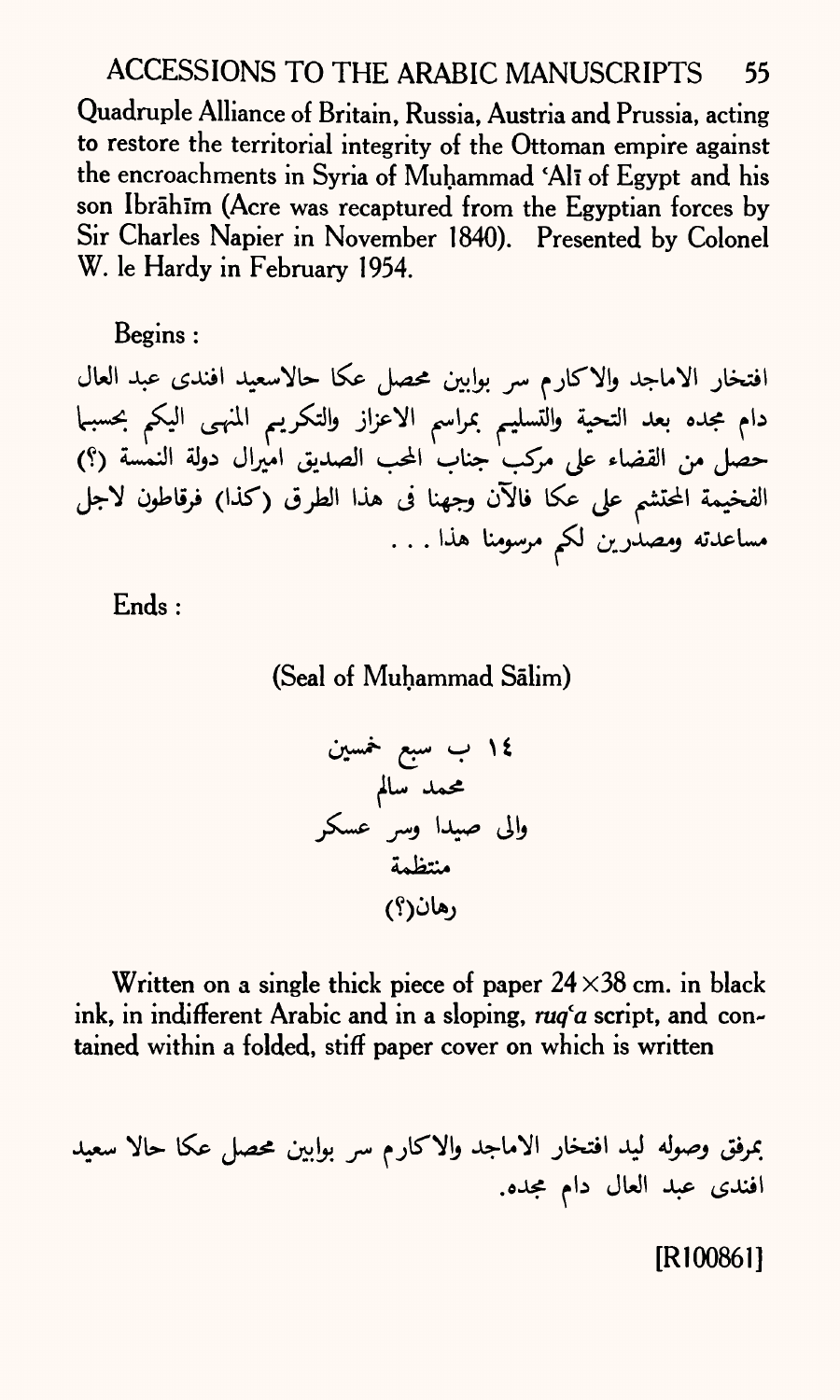## ACCESSIONS TO THE ARABIC MANUSCRIPTS 55

Quadruple Alliance of Britain, Russia, Austria and Prussia, acting to restore the territorial integrity of the Ottoman empire against the encroachments in Syria of Muhammad 'All of Egypt and his son Ibrahim (Acre was recaptured from the Egyptian forces by Sir Charles Napier in November 1840). Presented by Colonel W. le Hardy in February 1954.

## Begins :

افتخار الاماجد والاكارم سر بوابين محصل عكا حالاسعيد افندى عبد العال دام مجده بعد التحية والتسليم بمراسم الاعزاز والتكريم المنهى اليكم بحسبها حصل من القضاء على مركب جناب المحب الصديق اميرال دولة النمسة (؟) الفخيمة المحتشم على عكا فالآن وجهنا فى هذا الطرق (كذا) فرقاطون لاجل مساعدته و*مصدٰرین لکم مرسومنا هذا .* . .

Ends :

(Seal of Muhammad Salim)

\*\*\*\*< «— J \ 1

Written on a single thick piece of paper  $24 \times 38$  cm. in black ink, in indifferent Arabic and in a sloping, *ruq'a* script, and contained within a folded, stiff paper cover on which is written

بمرفق وصوله ليد افتخار الاماجد والاكارم سر بوابين محصل عكا حالا سعيد افندی عبد العال دام مجده.

[R100861]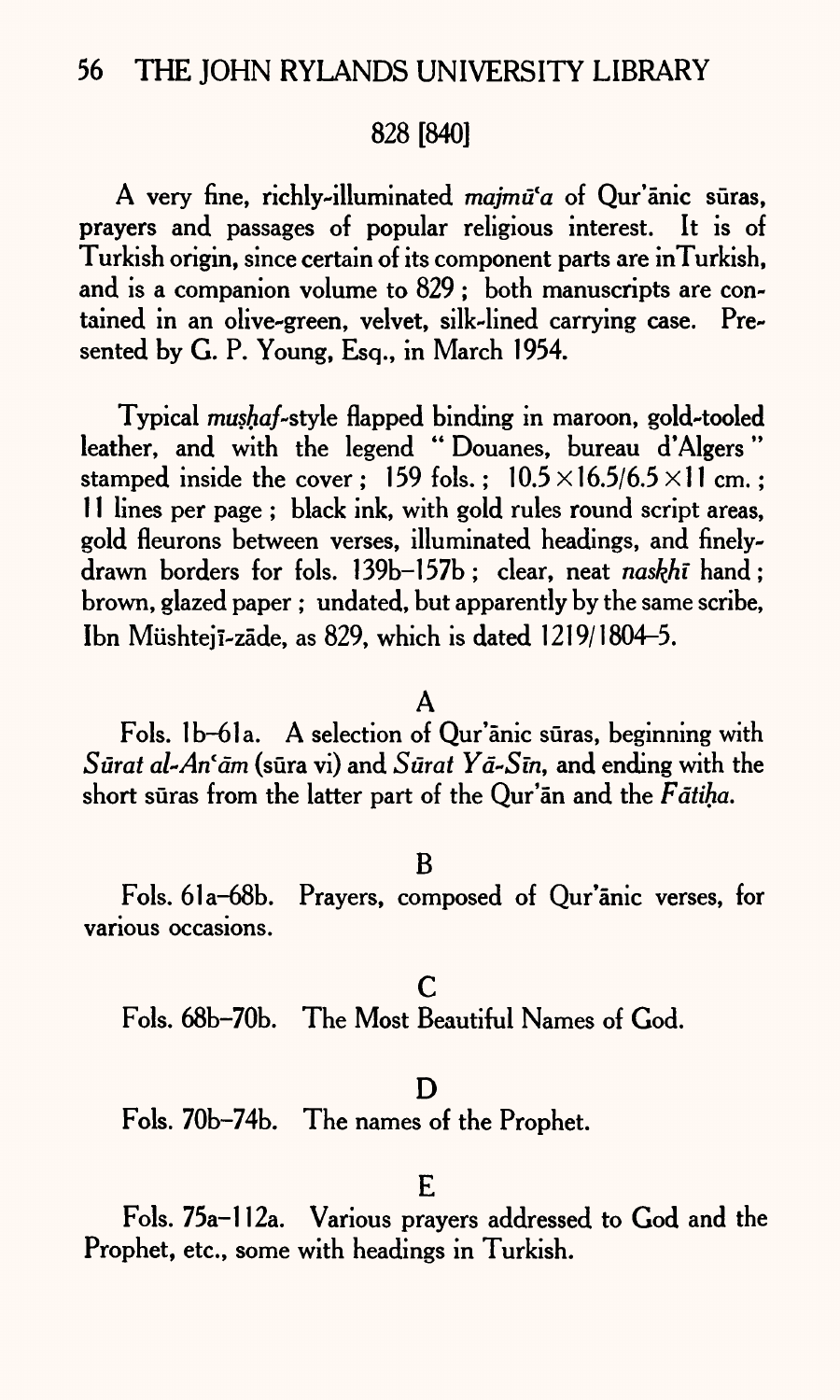## 828 [840]

A very fine, richly-illuminated *majmifa* of Qur'anic suras, prayers and passages of popular religious interest. It is of Turkish origin, since certain of its component parts are inTurkish, and is a companion volume to 829 ; both manuscripts are contained in an olive-green, velvet, silk-lined carrying case. Presented by G. P. Young, Esq., in March 1954.

Typical *mushaf-style flapped binding in maroon*, gold-tooled leather, and with the legend "Douanes, bureau d'Algers" stamped inside the cover ; 159 fols.;  $10.5 \times 16.5/6.5 \times 11$  cm.: 11 lines per page ; black ink, with gold rules round script areas, gold fleurons between verses, illuminated headings, and finelydrawn borders for fols. 139b-157b; clear, neat *naskfii* hand; brown, glazed paper ; undated, but apparently by the same scribe, Ibn MiishtejI-zade, as 829, which is dated 1219/1804-5.

### A

Fols. lb-61a. A selection of Qur'anic suras, beginning with *Surat al-An'am* (sura vi) and *Surat Ya-Sin*, and ending with the short sūras from the latter part of the Qur'an and the Fatiha.

#### B

Fols. 61a-68b. Prayers, composed of Qur'anic verses, for various occasions.

c Fols. 68b-70b. The Most Beautiful Names of God.

#### D

Fols. 70b-74b. The names of the Prophet.

#### E

Fols. 75a-l 12a. Various prayers addressed to God and the Prophet, etc., some with headings in Turkish.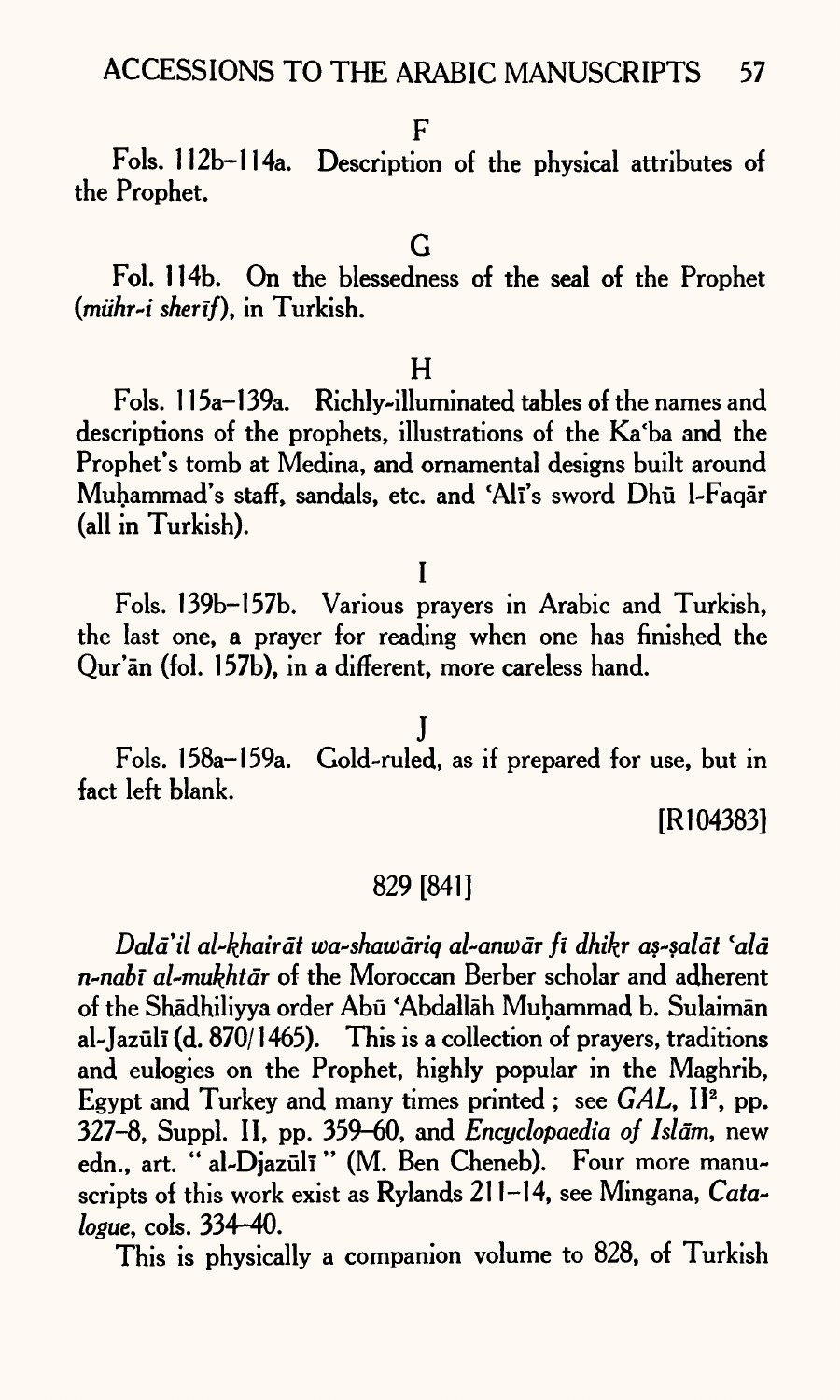Fols. 112b-114a. Description of the physical attributes of the Prophet.

Fol. 114b. On the blessedness of the seal of the Prophet *(miihr-i sherif),* in Turkish.

### $H$

Fols. 115a-l 39a. Richly-illuminated tables of the names and descriptions of the prophets, illustrations of the Ka'ba and the Prophet's tomb at Medina, and ornamental designs built around Muhammad's staff, sandals, etc. and 'Alī's sword Dhū l-Faqār (all in Turkish).

### I

Fols. 139b-157b. Various prayers in Arabic and Turkish, the last one, a prayer for reading when one has finished the Qur'an (fol. 157b), in a different, more careless hand.

Fols. 158a-159a. Gold-ruled, as if prepared for use, but in fact left blank.

j

[R104383]

## 829 [841]

*Dald'il al-khairdt wa-shawdriq al-anu)dr fi dhikr as-saldt \*ald n-nabi al-mukhtdr* of the Moroccan Berber scholar and adherent of the Shadhiliyya order Abu 'Abdallah Muhammad b. Sulaiman al-Jazuli (d. 870/1465). This is a collection of prayers, traditions and eulogies on the Prophet, highly popular in the Maghrib, Egypt and Turkey and many times printed; see *GAL*, II<sup>2</sup>, pp. 327-8, Suppl. II, pp. 359-60, and *Encyclopaedia of Islam,* new edn., art. " al-Djazuli" (M. Ben Cheneb). Four more manuscripts of this work exist as Rylands 211-14, see Mingana, *Catalogue,* cols. 334-40.

This is physically a companion volume to 828, of Turkish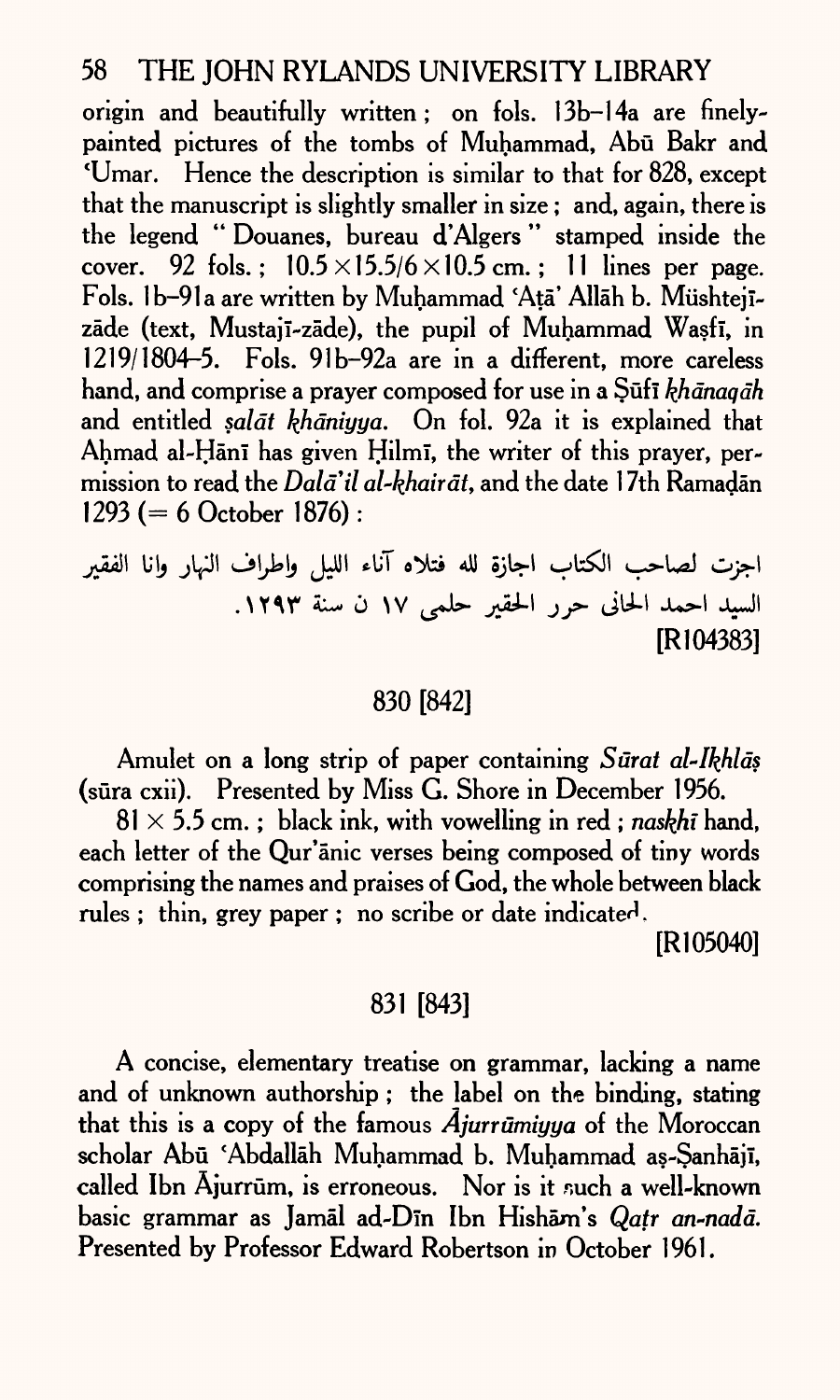origin and beautifully written; on fols. 13b-14a are finelypainted pictures of the tombs of Muhammad, Abū Bakr and 'Umar. Hence the description is similar to that for 828, excep<sup>t</sup> that the manuscript is slightly smaller in size ; and, again, there is the legend " Douanes, bureau d'Algers " stamped inside the cover. 92 fols.;  $10.5 \times 15.5/6 \times 10.5$  cm.; 11 lines per page. Fols. 1b-91a are written by Muhammad 'Ață' Allāh b. Müshtejīzāde (text, Mustajī-zāde), the pupil of Muhammad Wasfī, in 1219/1804-5. Fols. 91b-92a are in a different, more careless hand, and comprise a prayer composed for use in a Sufi *khānaqāh* and entitled *salāt khāniyya*. On fol. 92a it is explained that Ahmad al-Hānī has given Hilmī, the writer of this prayer, permission to read the *Dala'il al-khairat*, and the date 17th Ramadan 1293 ( $= 6$  October 1876):

اجزت لصاحب الكتاب اجازة لله فتلاه آناء الليل واطراف النهار وانا الفقير السيد احمد الحاني حرر الحقير حلمي ١٧ ن سنة ١٢٩٣. [R 104383]

## 830 [842]

Amulet on a long strip of paper containing *Surat al-Ikhlds*  (sura cxii). Presented by Miss G. Shore in December 1956.

 $81 \times 5.5$  cm. ; black ink, with vowelling in red; *naskhi* hand, each letter of the Qur'anic verses being composed of tiny words comprising the names and praises of God, the whole between black rules ; thin, grey paper ; no scribe or date indicated.

[Rl 05040]

## 831 [843]

A concise, elementary treatise on grammar, lacking a name and of unknown authorship ; the label on the binding, stating that this is a copy of the famous  $\vec{A}$ *jurrūmiyya* of the Moroccan scholar Abū 'Abdallāh Muhammad b. Muhammad as-Sanhājī, called Ibn Ajurrūm, is erroneous. Nor is it such a well-known basic grammar as Jamal ad-Din Ibn Hisham's *Qatr an-nadd.*  Presented by Professor Edward Robertson in October 1961.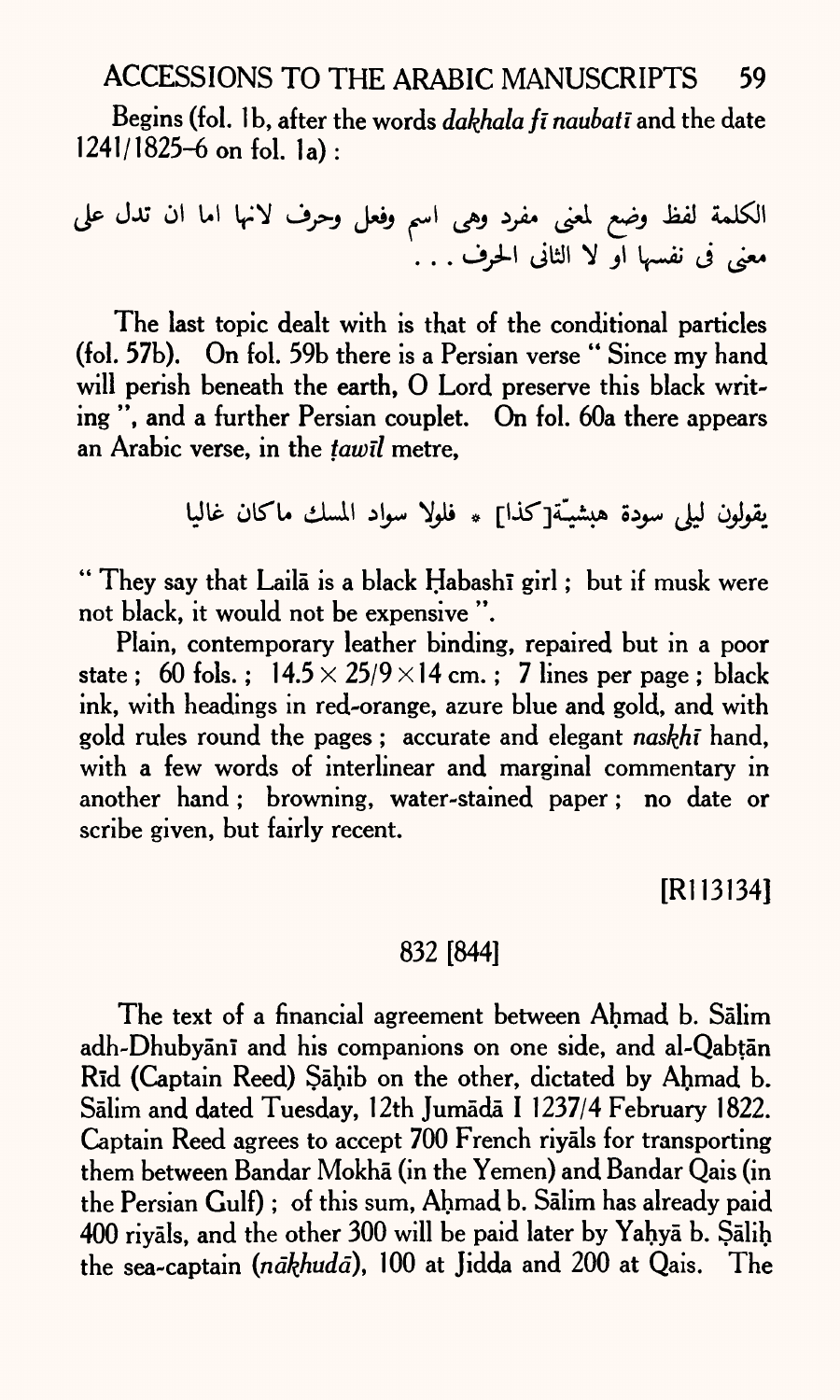ACCESSIONS TO THE ARABIC MANUSCRIPTS 59

Begins (fol. 1 b, after the words *dakhala ft naubati* and the date  $1241/1825-6$  on fol. la):

J

The last topic dealt with is that of the conditional particles (fol. 57b). On fol. 59b there is a Persian verse " Since my hand will perish beneath the earth, O Lord preserve this black writing ", and a further Persian couplet. On fol. 60a there appears an Arabic verse, in the *tawll* metre,

يقولون ليلي سودة هبشيـّة[كذا] \* فلولا سواد المسك ماكان غاليا

" They say that Laila is a black Habashi girl ; but if musk were not black, it would not be expensive ".

Plain, contemporary leather binding, repaired but in a poor state ; 60 fols. ;  $14.5 \times 25/9 \times 14$  cm.; 7 lines per page; black ink, with headings in red-orange, azure blue and gold, and with gold rules round the pages ; accurate and elegant *naskhi* hand, with a few words of interlinear and marginal commentary in another hand ; browning, water-stained paper ; no date or scribe given, but fairly recent.

[Rl 13134]

## 832 [844]

The text of a financial agreement between Ahmad b. Salim adh-Dhubyani and his companions on one side, and al-Qabtan Rid (Captain Reed) Sahib on the other, dictated by Ahmad b. Sālim and dated Tuesday, 12th Jumādā I 1237/4 February 1822. Captain Reed agrees to accept 700 French riyals for transporting them between Bandar Mokha (in the Yemen) and Bandar Qais (in the Persian Gulf) ; of this sum, Ahmad b. Salim has already paid 400 riyals, and the other 300 will be paid later by Yahya b. Salih the sea-captain (nākhudā), 100 at Jidda and 200 at Qais. The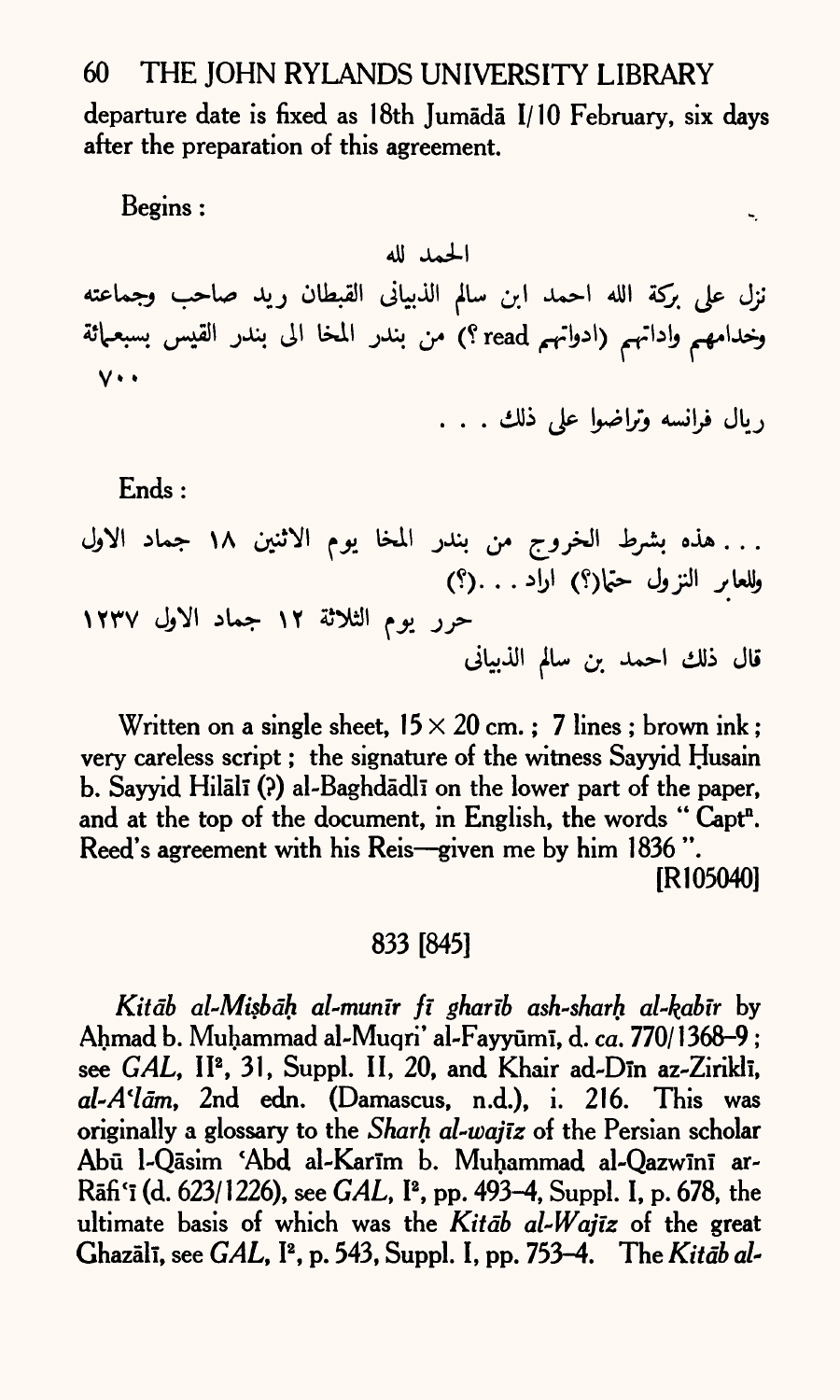departure date is fixed as 18th Jumada I/ 10 February, six days after the preparation of this agreement.

Begins :

الحمد لله

نزل على بركة الله احمد ابن سالم الذبيانى القبطان ريد صاحب وجماعته وخدامهم واداتهم (ادواتهم read ؟) من بندر المخا الى بندر القيس بسبعـمائة  $V \cdot \cdot$ 

ريال فرانسه وتراضوا على ذلك . . .

ĥ,

Ends :

. . . هذه بشرط الخروج من بندر المخا يوم الاثنين ١٨ جماد الاول وللعابر النزول حتما(؟) اراد . . .(؟) حرر يوم الثلاثة ١٢ جماد الاول ١٢٣٧ قال ذلك احمد بن سالم الذبيانى

Written on a single sheet,  $15 \times 20$  cm.; 7 lines; brown ink; very careless script; the signature of the witness Sayyid Husain b. Sayyid Hilālī (?) al-Baghdādlī on the lower part of the paper, and at the top of the document, in English, the words "Capt<sup>n</sup>. Reed's agreement with his Reis-given me by him 1836". [Rl 05040]

## 833 [845]

*Kitdb al-Misbdh al-munir fi gharib ash-sharh al~kabir* by Ahmad b. Muhammad al-Muqri\* al-Fayyuml, d. *ca.* 770/1368-9 ; see *GAL*, II<sup>2</sup>, 31, Suppl. II, 20, and Khair ad-Din az-Zirikli, *al-A'ldm,* 2nd edn. (Damascus, n.d.), i. 216. This was originally <sup>a</sup>glossary to the *Shark al-wajlz* of the Persian scholar Abū l-Qāsim 'Abd al-Karīm b. Muhammad al-Qazwīnī ar-Rafi<sup>c</sup> l (d. 623/1226), see *GAL,* I2 , pp. 493-4, Suppl. I, p. 678, the ultimate basis of which was the *Kitdb al-Wajiz* of the grea<sup>t</sup> Ghazall, see *GAL,* I2 , p. 543, Suppl. I, pp. 753-4. The *Kitdb al~*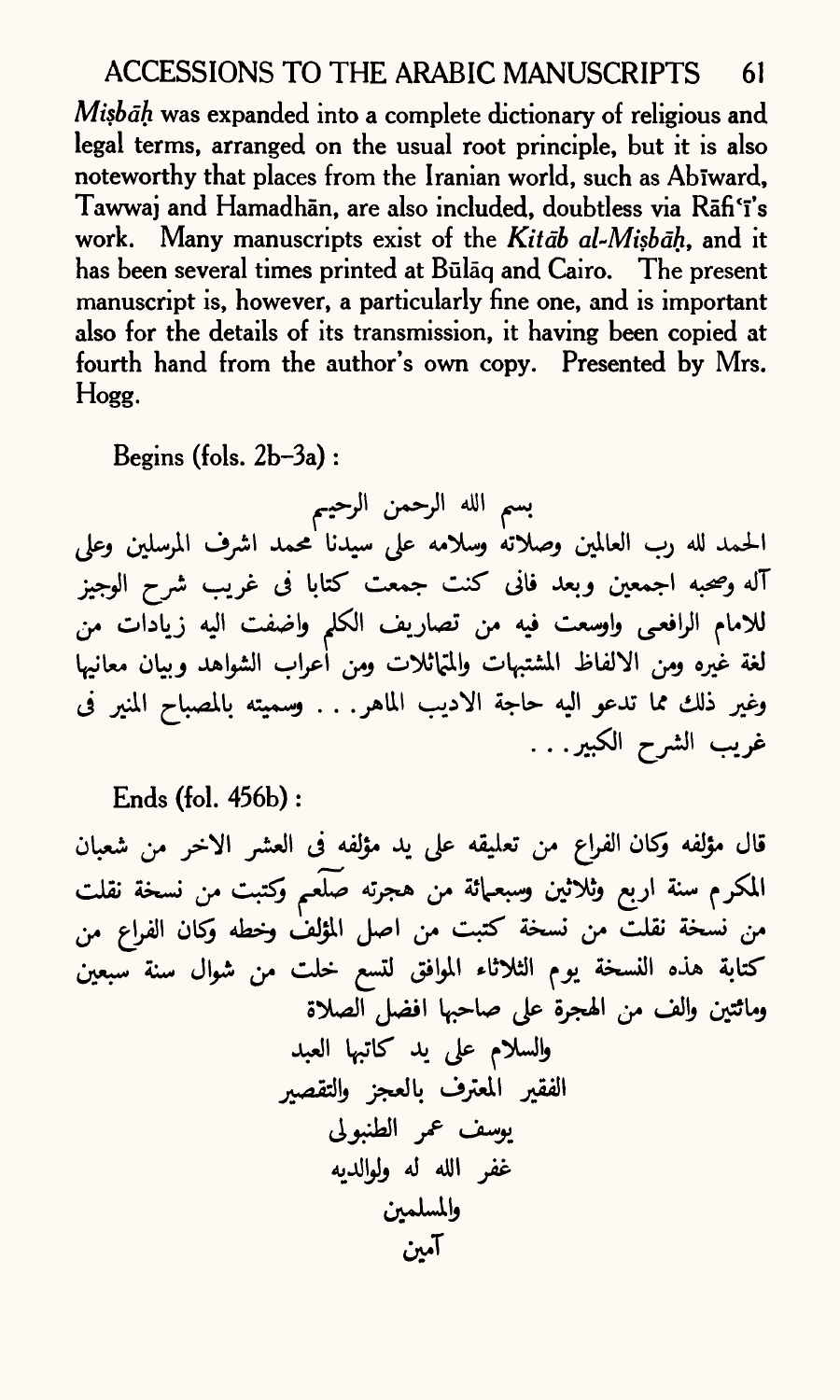*Misbdh* was expanded into a complete dictionary of religious and legal terms, arranged on the usual root principle, but it is also noteworthy that places from the Iranian world, such as Abiward, Tawwaj and Hamadhan, are also included, doubtless via Rafi'i's work. Many manuscripts exist of the *Kitdb al~Misbdh,* and it has been several times printed at Būlāq and Cairo. The present manuscript is, however, a particularly fine one, and is important also for the details of its transmission, it having been copied at fourth hand from the author's own copy. Presented by Mrs. Hogg.

Begins (fols. 2b-3a) :

بسم الله الرحمن الرحيم<br>الحمد لله رب العالمين وصلاته وسلامه على سيدنا محمد اشرف المرسلين وعلى آله وصحبه اجمعين وبعد فانى كنت جمعت كتابا فى غريب شرح الوجيز للامام الرافعي واوسعت فيه من تصاريف الكلم واضفت اليه زيادات من لغة غيره ومن الالفاظ المشتبهات والمتهاثلات ومن أعراب الشواهد وبيان معانيها وغير ذلك مما تدعو اليه حاجة الاديب الماهر. . . وسميته بالمصباح المنير في غريب الشرح الكبير. . .

**Ends (fol. 456b) :**

قال مؤلفه وكان الفراع من تعليقه على يد مؤلفه في العشر الاخر من شعبان المكرم سنة اربع وثلاثين وسبعـمائة من هجرته صَلَعـم وكتبت من نسخة نقلت<br>من نسخة نقلت من نسخة كتبت من اصل المؤلف وخطه وكان الفراع من كتابة هذه النسخة يوم الثلاثاء الموافق لتسع خلت من شوال سنة سبعين وماثتين والف من الهجرة على صاحبها افضل الصلاة والسلام على يد كاتبها العبد الفقير المعترف بالعجز والتقصير يوسف عمر الطنبولي غفر الله له ولوالديه والمسلمين آمين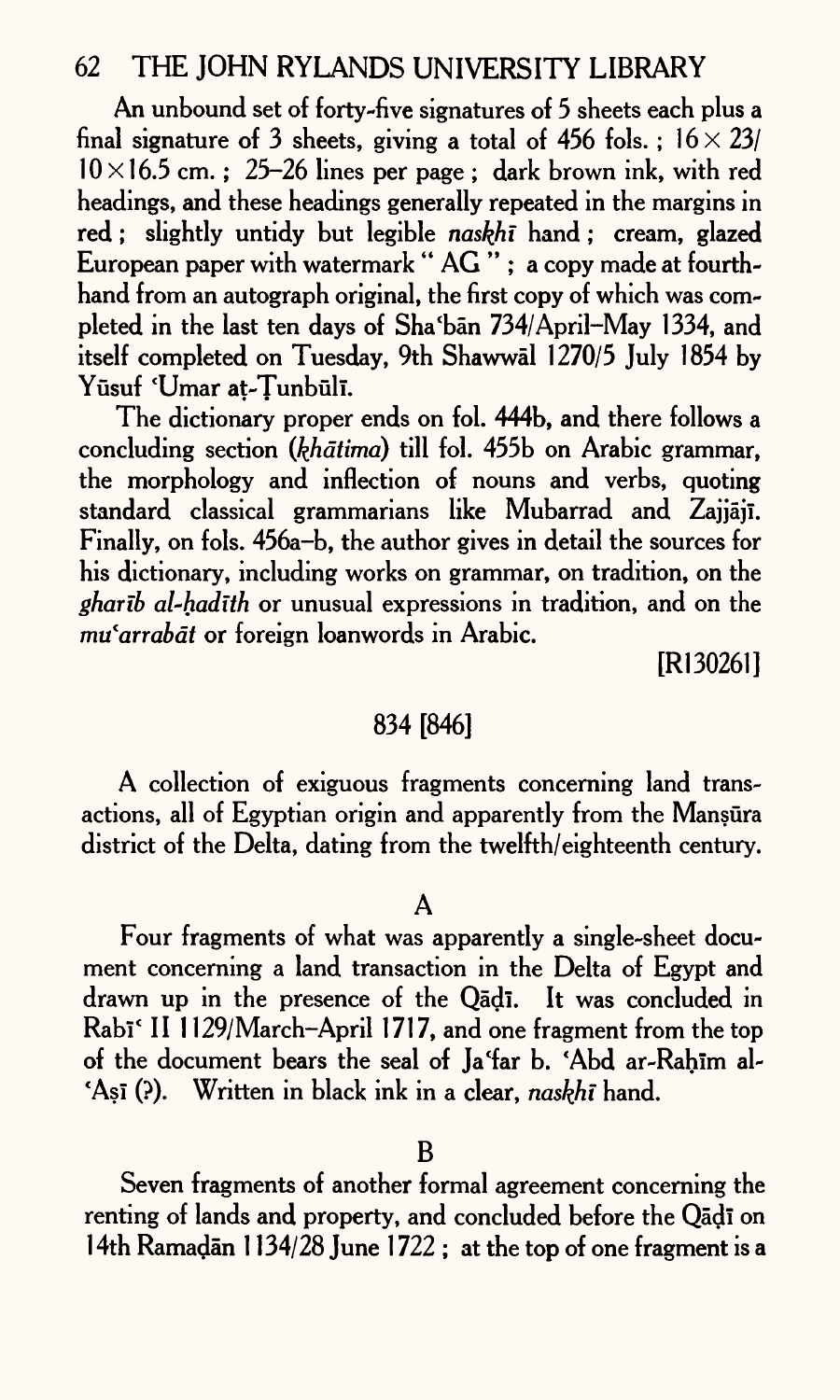An unbound set of forty-five signatures of 5 sheets each plus <sup>a</sup> final signature of 3 sheets, giving a total of 456 fols.;  $16 \times 23/$  $10 \times 16.5$  cm.; 25-26 lines per page; dark brown ink, with red headings, and these headings generally repeated in the margins in red; slightly untidy but legible *naskfii* hand; cream, glazed European paper with watermark " AG " ; a copy made at fourthhand from an autograph original, the first copy of which was completed in the last ten days of Sha'ban 734/April-May 1334, and itself completed on Tuesday, 9th Shawwal 1270/5 July 1854 by Yūsuf 'Umar at-Tunbūlī.

The dictionary proper ends on fol. 444b, and there follows <sup>a</sup> concluding section *(khdtima)* till fol. 455b on Arabic grammar, the morphology and inflection of nouns and verbs, quoting standard classical grammarians like Mubarrad and Zajjaji. Finally, on fols. 456a-b, the author gives in detail the sources for his dictionary, including works on grammar, on tradition, on the *gharib al-hadith* or unusual expressions in tradition, and on the *mu*<sup>*carrabat* or foreign loanwords in Arabic.</sup>

[Rl 30261]

### 834 [846]

A collection of exiguous fragments concerning land transactions, all of Egyptian origin and apparently from the Mansura district of the Delta, dating from the twelfth/eighteenth century.

### A

Four fragments of what was apparently a single-sheet document concerning a land transaction in the Delta of Egypt and drawn up in the presence of the Oadi. It was concluded in Rabī<sup>c</sup> II 1129/March-April 1717, and one fragment from the top of the document bears the seal of Ja'far b. 'Abd ar-Rahim al- \*As! (?). Written in black ink in a clear, *naskhi* hand.

Seven fragments of another formal agreement concerning the renting of lands and property, and concluded before the Qadi on 14th Ramadan 1134/28 June 1722 ; at the top of one fragment is a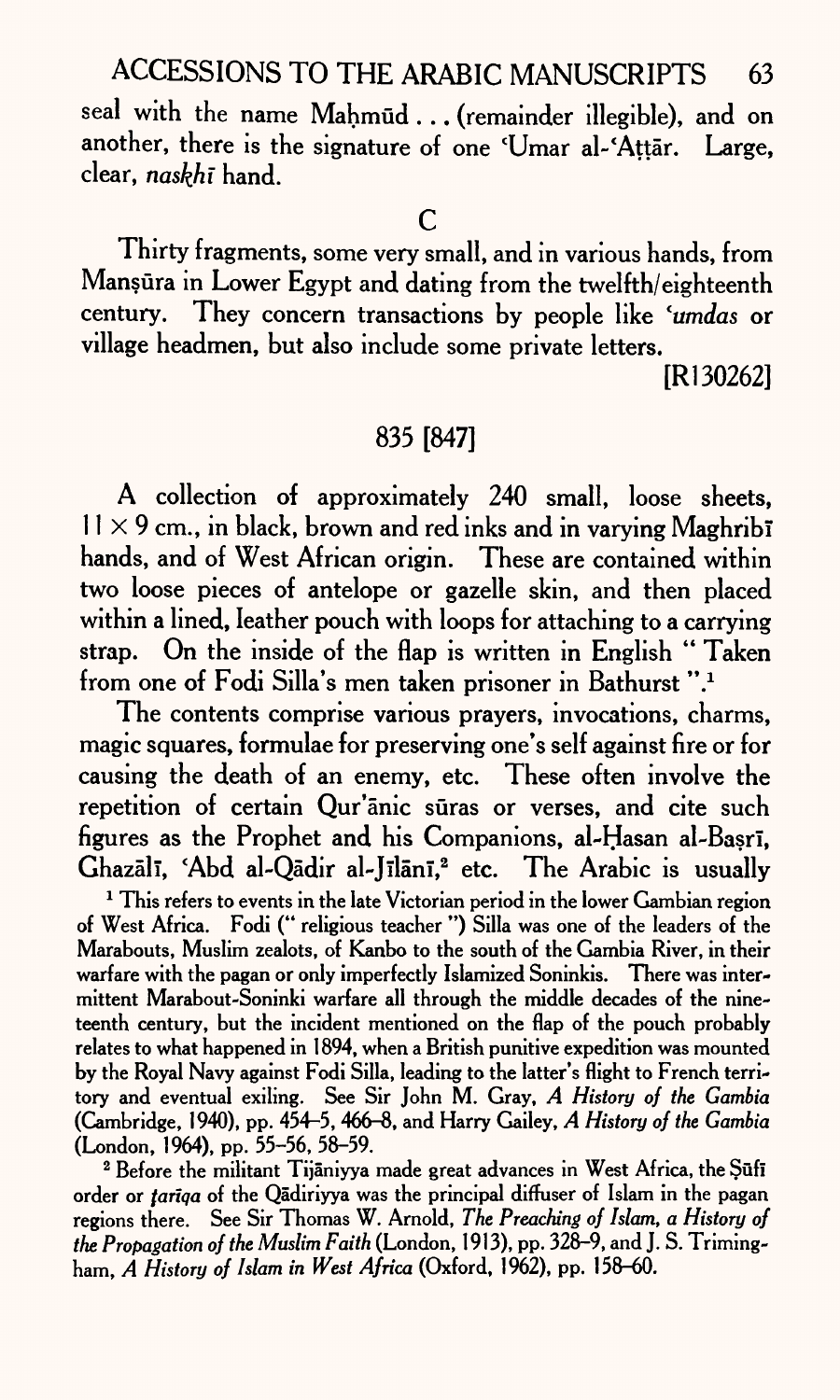seal with the name Mahmud ... (remainder illegible), and on another, there is the signature of one 'Umar al-'Attār. Large, clear, *naskhi* hand.

 $\mathsf{C}$ 

Thirty fragments, some very small, and in various hands, from Mansura in Lower Egypt and dating from the twelfth/eighteenth century. They concern transactions by people like *'umdas* or village headmen, but also include some private letters.

[Rl30262]

## 835 [847]

A collection of approximately 240 small, loose sheets,  $11\times9$  cm., in black, brown and red inks and in varying Maghribi hands, and of West African origin. These are contained within two loose pieces of antelope or gazelle skin, and then placed within a lined, leather pouch with loops for attaching to a carrying strap. On the inside of the flap is written in English "Taken from one of Fodi Silla's men taken prisoner in Bathurst ".<sup>1</sup>

The contents comprise various prayers, invocations, charms, magic squares, formulae for preserving one's self against fire or for causing the death of an enemy, etc. These often involve the repetition of certain Qur'anic suras or verses, and cite such figures as the Prophet and his Companions, al-Hasan al-Basrl, Ghazālī, 'Abd al-Qādir al-Jīlānī,<sup>2</sup> etc. The Arabic is usually

<sup>1</sup> This refers to events in the late Victorian period in the lower Gambian region of West Africa. Fodi (" religious teacher ") Silla was one of the leaders of the Marabouts, Muslim zealots, of Kanbo to the south of the Gambia River, in their warfare with the pagan or only imperfectly Islamized Soninkis. There was intermittent Marabout-Soninki warfare all through the middle decades of the nineteenth century, but the incident mentioned on the flap of the pouch probably relates to what happened in 1894, when a British punitive expedition was mounted by the Royal Navy against Fodi Silla, leading to the latter's flight to French territory and eventual exiling. See Sir John M. Gray, *A History of the Gambia*  (Cambridge, 1940), pp. 454-5, 466-8, and Harry Gailey, *A History of the Gambia*  (London, 1964), pp. 55-56, 58-59.

<sup>2</sup> Before the militant Tijāniyya made great advances in West Africa, the Şūfī order or *fariqa* of the Qadiriyya was the principal diffuser of Islam in the pagan regions there. See Sir Thomas W. Arnold, *The Preaching of Islam, a History of the Propagation of the Muslim Faith* (London, 1913), pp. 328-9, and J. S. Trimingham, *A History of Islam in West Africa* (Oxford, 1962), pp. 158-60.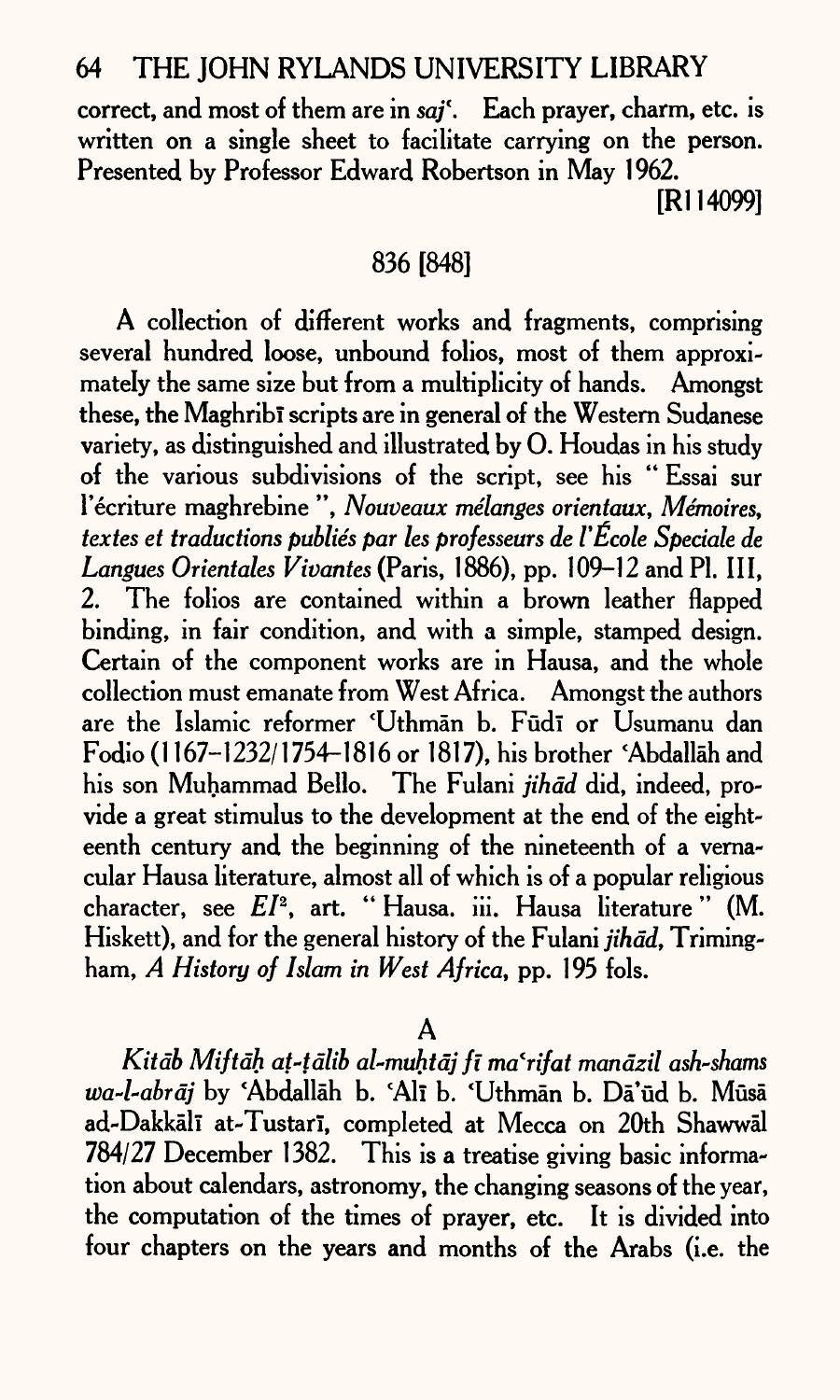correct, and most of them are in sai<sup>t</sup>. Each prayer, charm, etc. is written on a single sheet to facilitate carrying on the person. Presented by Professor Edward Robertson in May 1962.

[R1 14099]

## 836 [848]

A collection of different works and fragments, comprising several hundred loose, unbound folios, most of them approximately the same size but from a multiplicity of hands. Amongst these, the Maghrib<sup>1</sup> scripts are in general of the Western Sudanese variety, as distinguished and illustrated by 0. Houdas in his study of the various subdivisions of the script, see his " Essai sur I'ecriture maghrebine ", *Nouveaux melanges orientaux, Memoires, textes et traductions publics par les professeurs de I'Ecole Speciale de Langues Orientates Vivantes* (Paris, 1886), pp. 109-12 and PI. Ill, 2. The folios are contained within a brown leather flapped binding, in fair condition, and with a simple, stamped design. Certain of the component works are in Hausa, and the whole collection must emanate from West Africa. Amongst the authors are the Islamic reformer 'Uthmān b. Fūdī or Usumanu dan Fodio (1 167-1232/1754-1816 or 1817), his brother 'Abdallah and his son Muhammad Bello. The Fulani *jihad* did, indeed, provide a great stimulus to the development at the end of the eighteenth century and the beginning of the nineteenth of a vernacular Hausa literature, almost all of which is of a popular religious character, see *El2 ,* art. " Hausa. iii. Hausa literature " (M. Hiskett), and for the general history of the Fulani *jihad,* Trimingham, *A History of Islam in West Africa,* pp. 1 95 fols.

 $\mathbf{A}$ 

*Kitdb Miftdh at-tdlib al-muhtdj fi ma'rifat mandzil ash-shams*  wa-l-abrāj by 'Abdallāh b. 'Alī b. 'Uthmān b. Dā'ūd b. Mūsā ad-Dakkali at-Tustari, completed at Mecca on 20th Shawwal 784/27 December 1382. This is a treatise giving basic information about calendars, astronomy, the changing seasons of the year, the computation of the times of prayer, etc. It is divided into four chapters on the years and months of the Arabs (i.e. the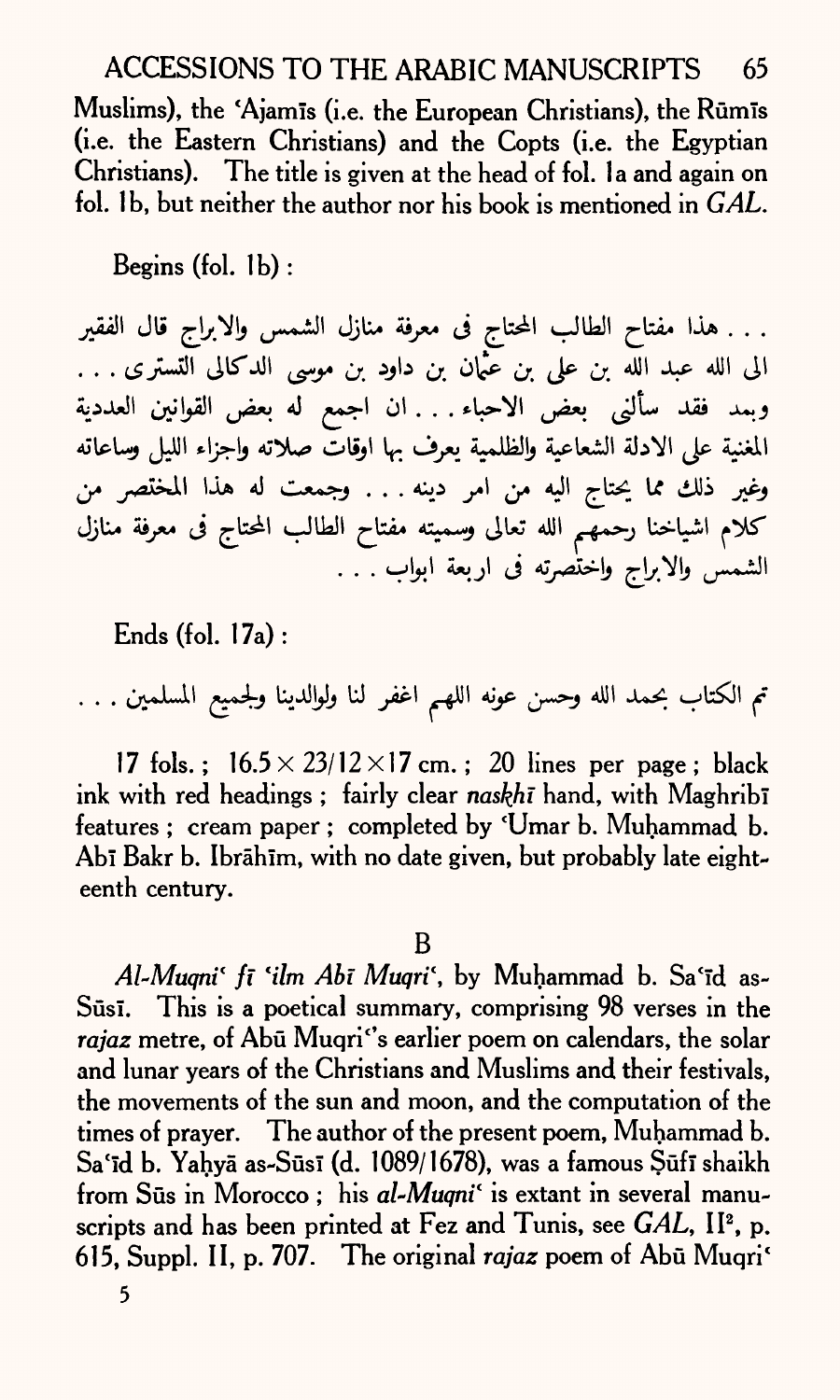# ACCESSIONS TO THE ARABIC MANUSCRIPTS 65

Muslims), the 'Ajamis (i.e. the European Christians), the Rūmis (i.e. the Eastern Christians) and the Copts (i.e. the Egyptian Christians). The title is given at the head of fol. Ia and again on fol. 1b, but neither the author nor his book is mentioned in *GAL*.

Begins (fol. Ib) :

. . . هذا مفتاح الطالب المحتاج فى معرفة منازل الشمس والابراج قال الفقير الى الله عبد الله بن على بن عَمَّان بن داود بن موسى الدكالي التستري . . . وبمد فقد سألنى بعض الاحباء . . . ان اجمع له بعض القوانين العددية المغنية على الادلة الشعاعية والظلمية يعرف بها اوقاتَّ صلاته واجزاء الليل وساعاته وغير ذلك مما يحتاج اليه من امر دينه . . . وجمعت له هذا المختصر من كلام اشياخنا رحمهم الله تعالى و*سميته مفتاح الطالب المحتاج فى معرفة منازل* الشمس والابراج واختصرته في اربعة ابواب . . .

Ends (fol. 17a):

تم الكتاب بحمد الله وحسن عونه اللهم اغفر لنا ولوالدينا ولجميع المسلمين . . .

17 fols.;  $16.5 \times 23/12 \times 17$  cm.; 20 lines per page; black ink with red headings; fairly clear *naskhi* hand, with Maghrib<sub>1</sub> features ; cream paper ; completed by 'Umar b. Muhammad b. Abī Bakr b. Ibrāhīm, with no date given, but probably late eighteenth century.

B

Al-Muqni<sup>c</sup> fi 'ilm Abi Muqri', by Muhammad b. Sa'id as-Sūsī. This is a poetical summary, comprising 98 verses in the rajaz metre, of Abū Muqri"s earlier poem on calendars, the solar and lunar years of the Christians and Muslims and their festivals, the movements of the sun and moon, and the computation of the times of prayer. The author of the present poem, Muhammad b. Sa'īd b. Yahyā as-Sūsī (d. 1089/1678), was a famous Şūfī shaikh from Sūs in Morocco; his *al-Muqni*<sup>*'*</sup> is extant in several manuscripts and has been printed at Fez and Tunis, see GAL, II<sup>2</sup>, p. 615, Suppl. II, p. 707. The original *rajaz* poem of Abu Muqri\*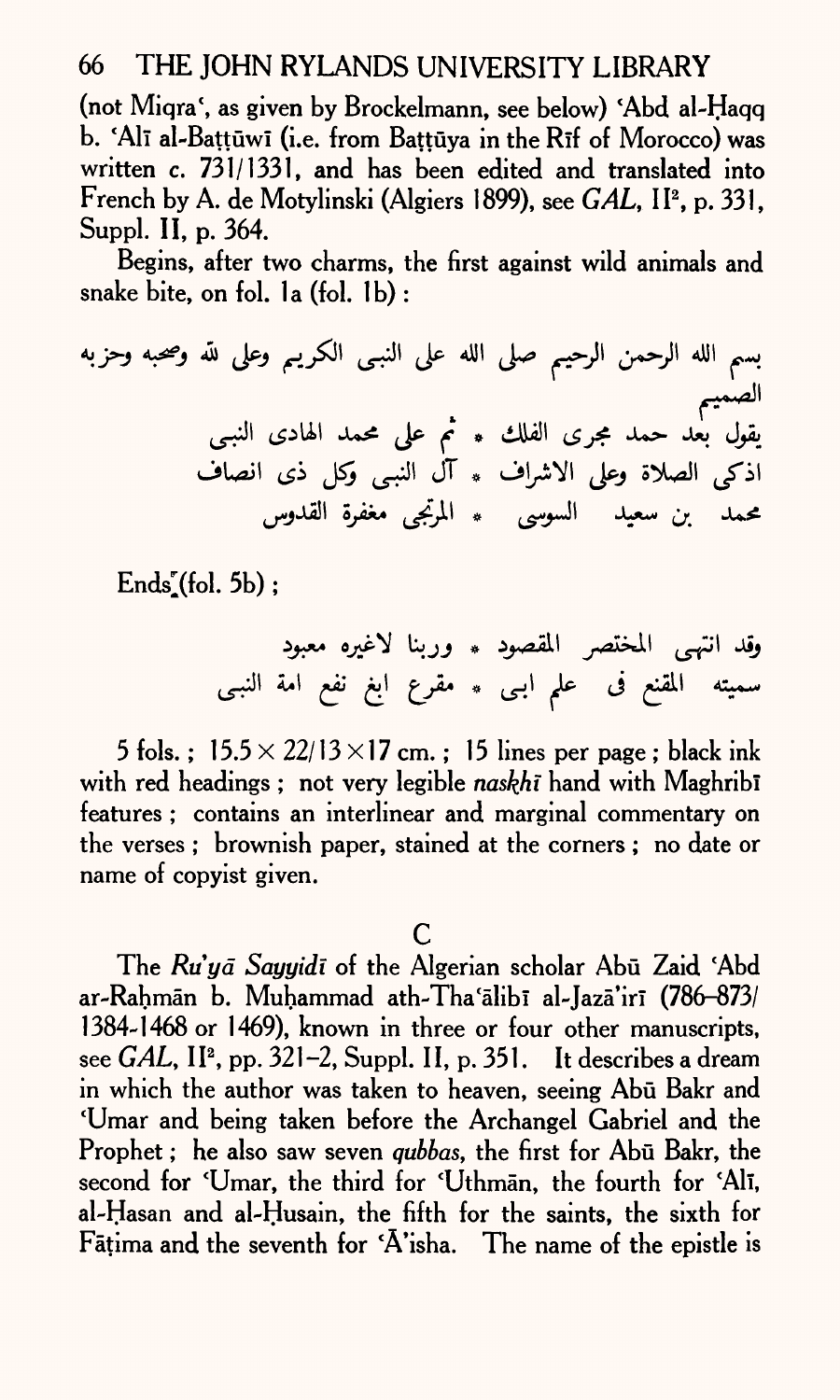(not Miqra', as given by Brockelmann, see below) 'Abd al-Haqq b. 'Alī al-Battūwī (i.e. from Battūva in the Rīf of Morocco) was written c. 731/1331, and has been edited and translated into French by A. de Motylinski (Algiers 1899), see *GAL*, II<sup>2</sup>, p. 331, Suppl. II, p. 364.

Begins, after two charms, the first against wild animals and snake bite, on fol. la (fol. 1b) :

*f* JT

 $Ends<sub>s</sub>(fol. 5b);$ 

وقد انتهى المختصر المقصود **\* وربنا لاغيره معبود** سميته المقنع فى علمِ ابـى \* مقرع ابغ نفع امة النبـى

5 fols.;  $15.5 \times 22/13 \times 17$  cm.; 15 lines per page; black ink with red headings; not very legible *naskhi* hand with Maghribi features ; contains an interlinear and marginal commentary on the verses ; brownish paper, stained at the corners ; no date or name of copyist given.

## $\overline{C}$

The Ru'ya Sayyidi of the Algerian scholar Abu Zaid 'Abd ar-Rahmān b. Muhammad ath-Tha'ālibī al-Jazā'irī (786-873/ 1384-1468 or 1469), known in three or four other manuscripts, see *GAL*, II<sup>2</sup>, pp. 321-2, Suppl. II, p. 351. It describes a dream in which the author was taken to heaven, seeing Abū Bakr and \*Umar and being taken before the Archangel Gabriel and the Prophet; he also saw seven *qubbas*, the first for Abu Bakr, the second for 'Umar, the third for 'Uthman, the fourth for 'Ali, al-Hasan and al-Husain, the fifth for the saints, the sixth for Fatima and the seventh for \*A'isha. The name of the epistle is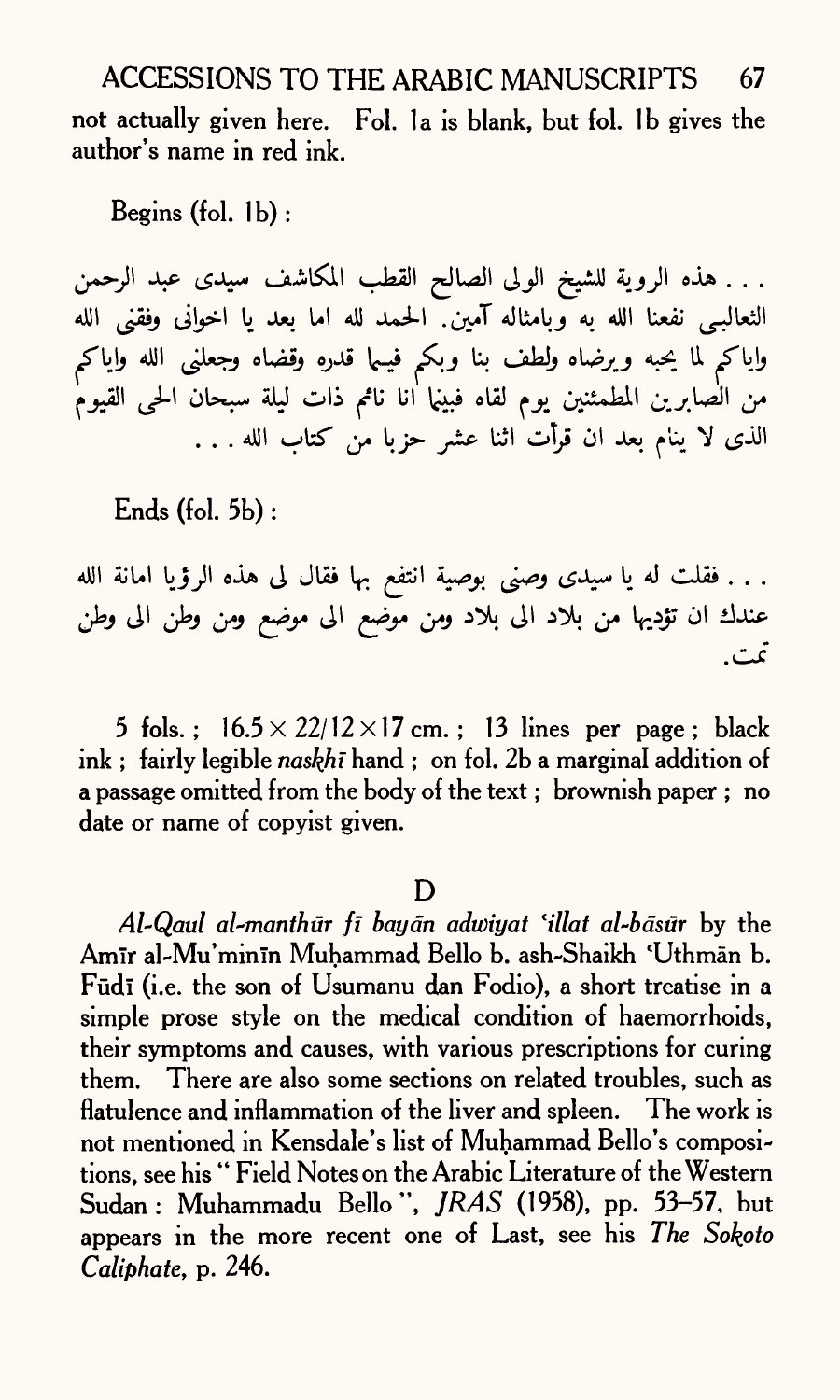ACCESSIONS TO THE ARABIC MANUSCRIPTS 67 not actually given here. Fol. la is blank, but fol. Ib gives the author's name in red ink.

Begins  $(fol. 1b)$ :

. . . هذه الروية للشيخ الولى الصالح القطب المكاشف سيدى عبد الرحمن الثعالبـ<sub>ى</sub> نفعنا الله به وبامثاله آمين<sub>.</sub> الحمد لله اما بعد يا اخوانى وفقنى الله واياكم لما يحبه ويرضاه ولطف بنا وبكم فيـما قدره وقضاه وجعلنى الله واياكم من الصابرين المطمئنين يوم لقاه فبينما ٰانا نامم ذات ليلة سبحان الحي القيوم الذي لا ينام بعد ان قرأت اثنا عشر حزبا من كتاب الله . . .

Ends (fol. 5b) :

. . . فقلت له يا سيدى وصنى بوصية انتفع بها فقال لى هذه الرؤيا امانة الله عندك ان تؤديها من بلاد الى بلاد ومن موّضع الى موضع ومن وطن الى وطن تمت.

5 fols.;  $16.5 \times 22/12 \times 17$  cm.; 13 lines per page; black ink; fairly legible *naskhi* hand; on fol. 2b a marginal addition of a passage omitted from the body of the text; brownish paper; no date or name of copyist given.

D

*Al~Qaul al-manthur ft baydn adtoiyat lillat al-bdsur* by the Amir al-Mu'minin Muhammad Bello b. ash-Shaikh 'Uthmān b. Fūdī (i.e. the son of Usumanu dan Fodio), a short treatise in a simple prose style on the medical condition of haemorrhoids, their symptoms and causes, with various prescriptions for curing them. There are also some sections on related troubles, such as flatulence and inflammation of the liver and spleen. The work is not mentioned in Kensdale's list of Muhammad Bello's compositions, see his " Field Notes on the Arabic Literature of the Western Sudan: Muhammadu Bello", *JRAS* (1958), pp. 53-57, but appears in the more recent one of Last, see his *The Sokpto Caliphate,* p. 246.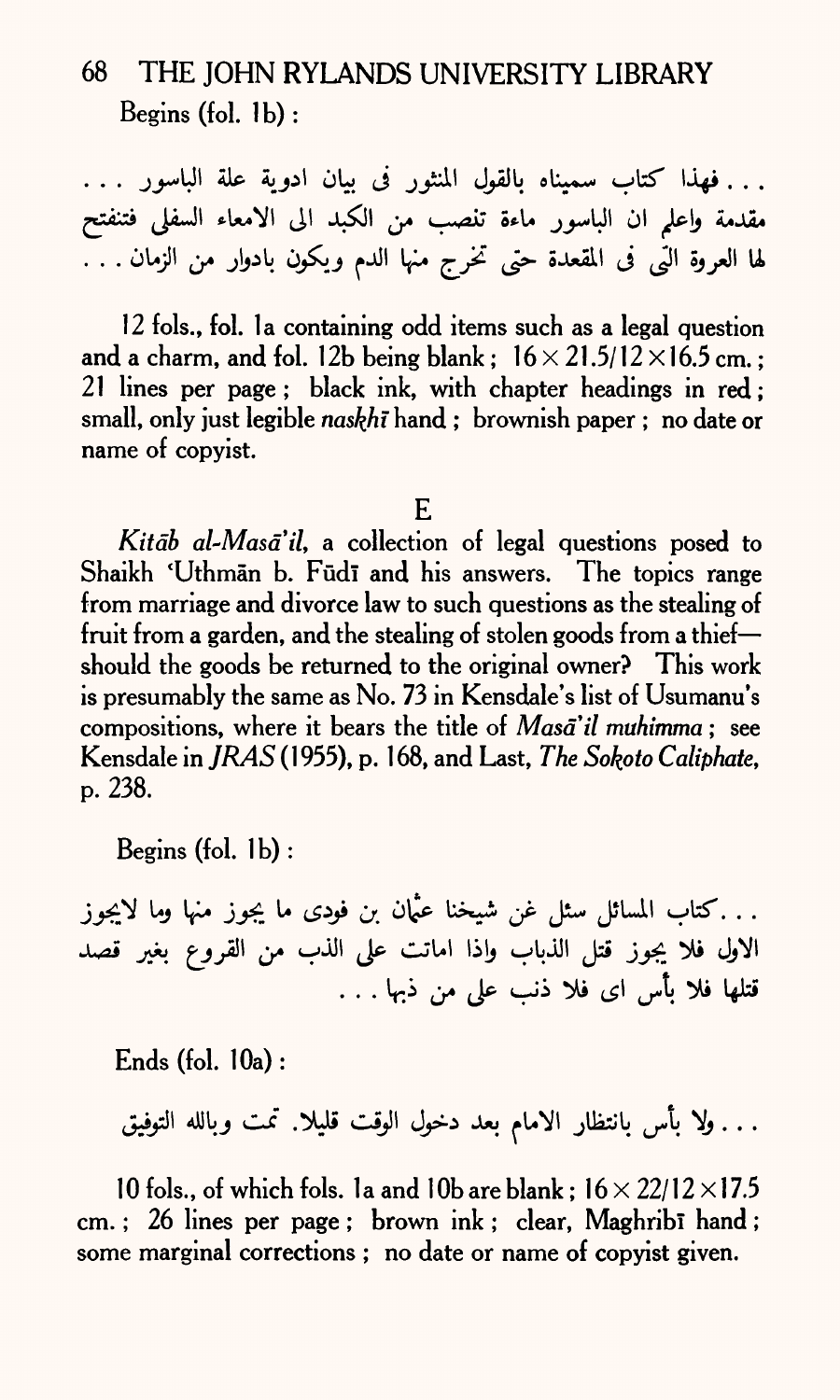# 68 THE JOHN RYLANDS UNIVERSITY LIBRARY Begins (fol. Ib) :

. . . فهذا كتاب سميناه بالقول المنثور في بيان ادوية علة الباسور . . . مقدمة واعل<sub>م</sub> ان الباسور ماءة تنصب من الكبد الى الامعاء السفلى فتنفتح لها العروة الَّتِي فى المقعدة حتى تخرج منها الدم ويكون بادوار من الزمان . . .

12 fols., fol. la containing odd items such as a legal question and a charm, and fol. 12b being blank;  $16 \times 21.5/12 \times 16.5$  cm.; 21 lines *per* page; black ink, with chapter headings in red; small, only just legible *naskhi* hand ; brownish paper ; no date or name of copyist.

### E

Kitab al-Masa'il, a collection of legal questions posed to Shaikh 'Uthmān b. Fūdī and his answers. The topics range from marriage and divorce law to such questions as the stealing of fruit from a garden, and the stealing of stolen goods from a thiefshould the goods be returned to the original owner? This work is presumably the same as No. *73* in Kensdale's list of Usumanu's compositions, where it bears the title of *Masail muhimma* ; see Kensdale in *JRAS* (1 955), p. 1 68, and Last, *The Sokoto Caliphate,*  p. 238.

Begins (fol.  $1<sub>b</sub>$ ):

...كتاب المسائل سئل غن شيخنا عثمان بن فودى ما يجوز منها وما لايجوز الاول فلا يجوز قتل الذباب واذا اماتت على الذب من القروع بغير قصد قتلها فلا بأس اي فلا ذنب على من ذبها . . .

Ends (fol. 10a):

. . . ولا بأس بانتظار الامام بعد دخول الوقت قليلا. تمت وبالله التوفيق

10 fols., of which fols. 1a and 10b are blank :  $16 \times 22/12 \times 17.5$ cm. ; 26 lines per page ; brown ink ; clear, Maghribi hand ; some marginal corrections ; no date or name of copyist given.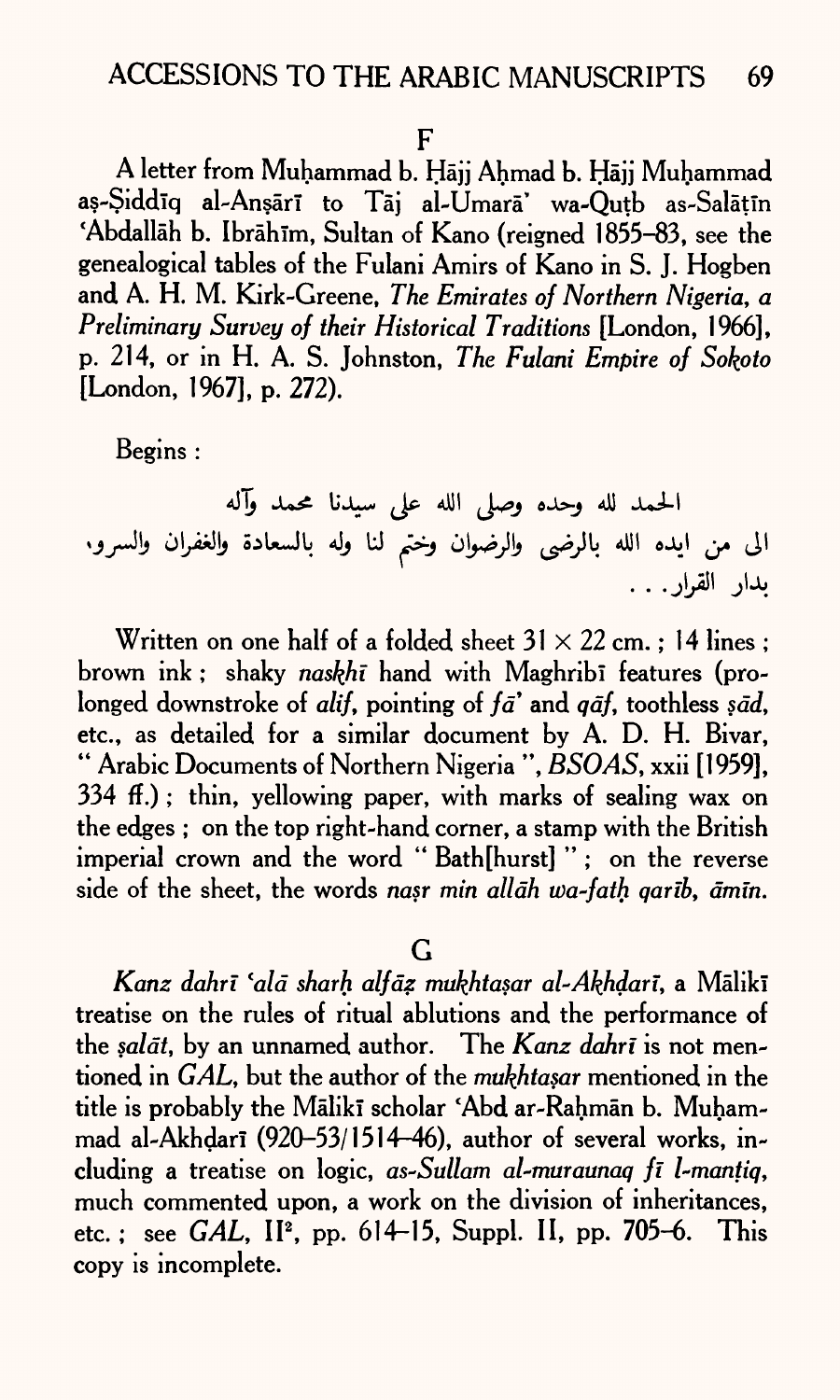#### $\mathsf F$

A letter from Muhammad b. Hajj Ahmad b. Hajj Muhammad as-Siddīq al-Ansārī to Tāj al-Umarā' wa-Qutb as-Salātīn 'Abdallah b. Ibrahim, Sultan of Kano (reigned 1855-83, see the genealogical tables of the Fulani Amirs of Kano in S. J. Hogben and A. H. M. Kirk-Greene, *The Emirates of Northern Nigeria, <sup>a</sup> Preliminary Survey of their Historical Traditions* [London, 1966], p. 214, or in H. A. S. Johnston, *The Fulani Empire of Sokpto*  [London, 1967], p. 272).

Begins :

الحمد لله وحده وصلى الله على سيدنا محمد وآله الى من ايده الله بالرضى والرضوان وختم لنا وله بالسعادة والغفران والسرو. يدار القرار . . .

Written on one half of a folded sheet  $31 \times 22$  cm.; 14 lines; brown ink; shaky *naskhi* hand with Maghribi features (prolonged downstroke of *alif,* pointing of *fa'* and *qdf,* toothless *sad,*  etc., as detailed for a similar document by A. D. H. Bivar, " Arabic Documents of Northern Nigeria ", *BSOAS,* xxii [1959], 334 ff.) ; thin, yellowing paper, with marks of sealing wax on the edges ; on the top right-hand corner, a stamp with the British imperial crown and the word "Bath[hurst]"; on the reverse side of the sheet, the words *nasr min alldh wa-fath qanb, dmm.*

G

*Kanz dahri 'aid sharh alfdz mukhtasar al-AkJhdari,* a Malikl treatise on the rules of ritual ablutions and the performance of the *saldt,* by an unnamed author. The *Kanz dahri* is not mentioned in *GAL,* but the author of the *mukhtasar* mentioned in the title is probably the Mālikī scholar 'Abd ar-Rahmān b. Muhammad al-Akhdari (920-53/1514-46), author of several works, including a treatise on logic, *as-Sullam al-muraunaq fi l-mantiq,*  much commented upon, a work on the division of inheritances, etc.; see *GAL*, II<sup>2</sup>, pp. 614-15, Suppl. II, pp. 705-6. This copy is incomplete.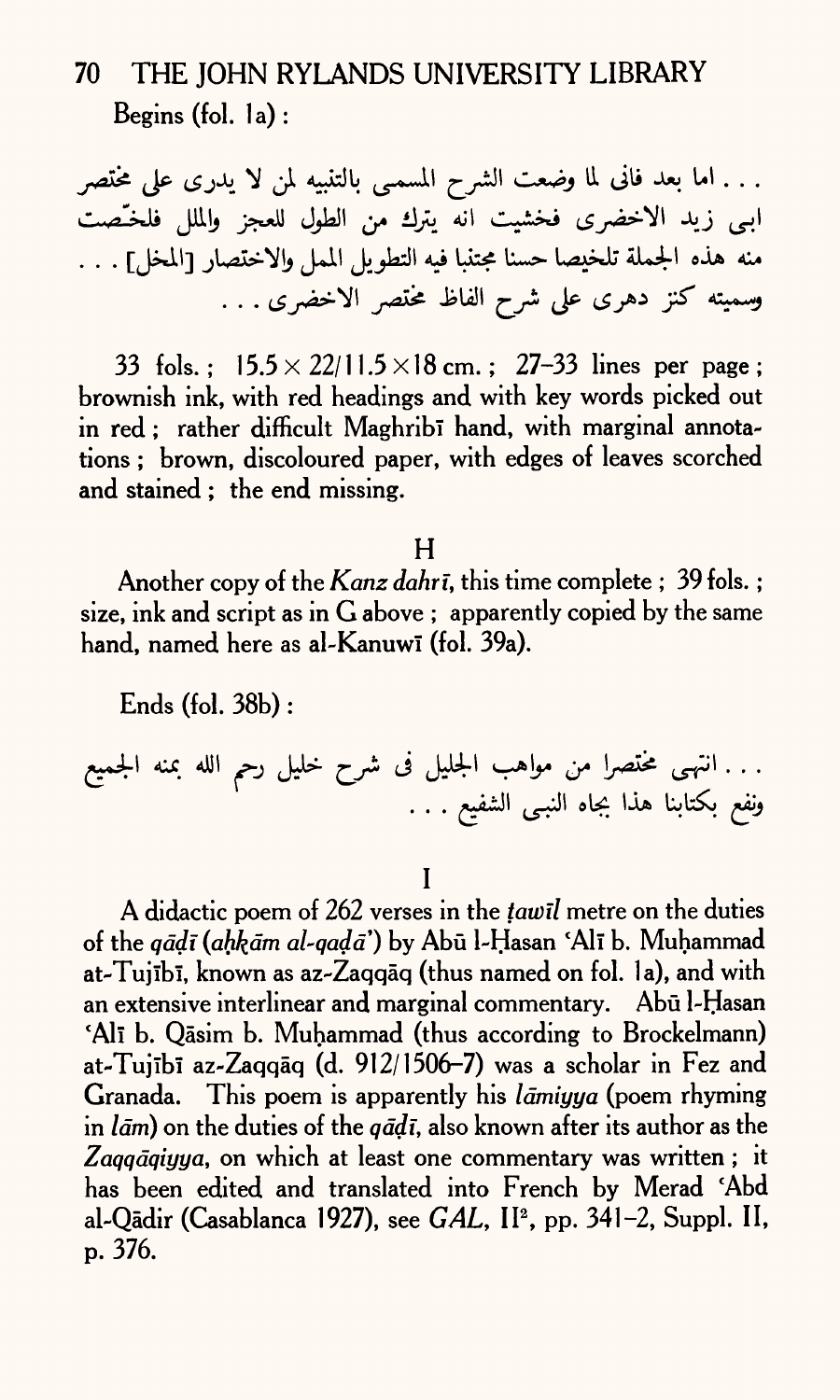# 70 THE JOHN RYLANDS UNIVERSITY LIBRARY Begins (fol. la) :

. . . اما بعد فانى لما وضعت الشرح المسمى بالتنبيه لمن لا يدرى على مختصر اببي زيد الاخضري فخشيت انه يترك من الطول للعجز والملل فلخـّصت منه هذه الجملة تلخيصا حسنا مجتنبا فيه التطويل الممل والاختصار [المخل] . . . وسميته كنز دهرى على شرح الفاظ مختصر الاخضرى . . .

33 fols.:  $15.5 \times 22/11.5 \times 18$  cm.; 27-33 lines per page; brownish ink, with red headings and with key words picked out in red : rather difficult Maghribi hand, with marginal annotations ; brown, discoloured paper, with edges of leaves scorched and stained ; the end missing.

H

Another copy of the *Kanz dahri,* this time complete ; 39 fols. ; size, ink and script as in G above ; apparently copied by the same hand, named here as al-Kanuwi (fol. 39a).

Ends (fol. 38b) :

. <\_JI oU- IJL\* L?« ••

I

A didactic poem of 262 verses in the *tawil* metre on the duties of the *qddi (ahkdm al-qadd')* by Abu 1-FIasan 'All b. Muhammad at-Tujībī, known as az-Zaqqāq (thus named on fol. 1a), and with an extensive interlinear and marginal commentary. Abū l-Hasan Ali b. Qāsim b. Muhammad (thus according to Brockelmann) at-Tujībī az-Zaqqāq (d. 912/1506-7) was a scholar in Fez and Granada. This poem is apparently his *Idmiyya* (poem rhyming in *Idm)* on the duties of the *qddi,* also known after its author as the Zaggaqiyya, on which at least one commentary was written; it has been edited and translated into French by Merad 'Abd al-Qadir (Casablanca 1927), see *GAL,* II2 , pp. 341-2, Suppl. II, p. 376.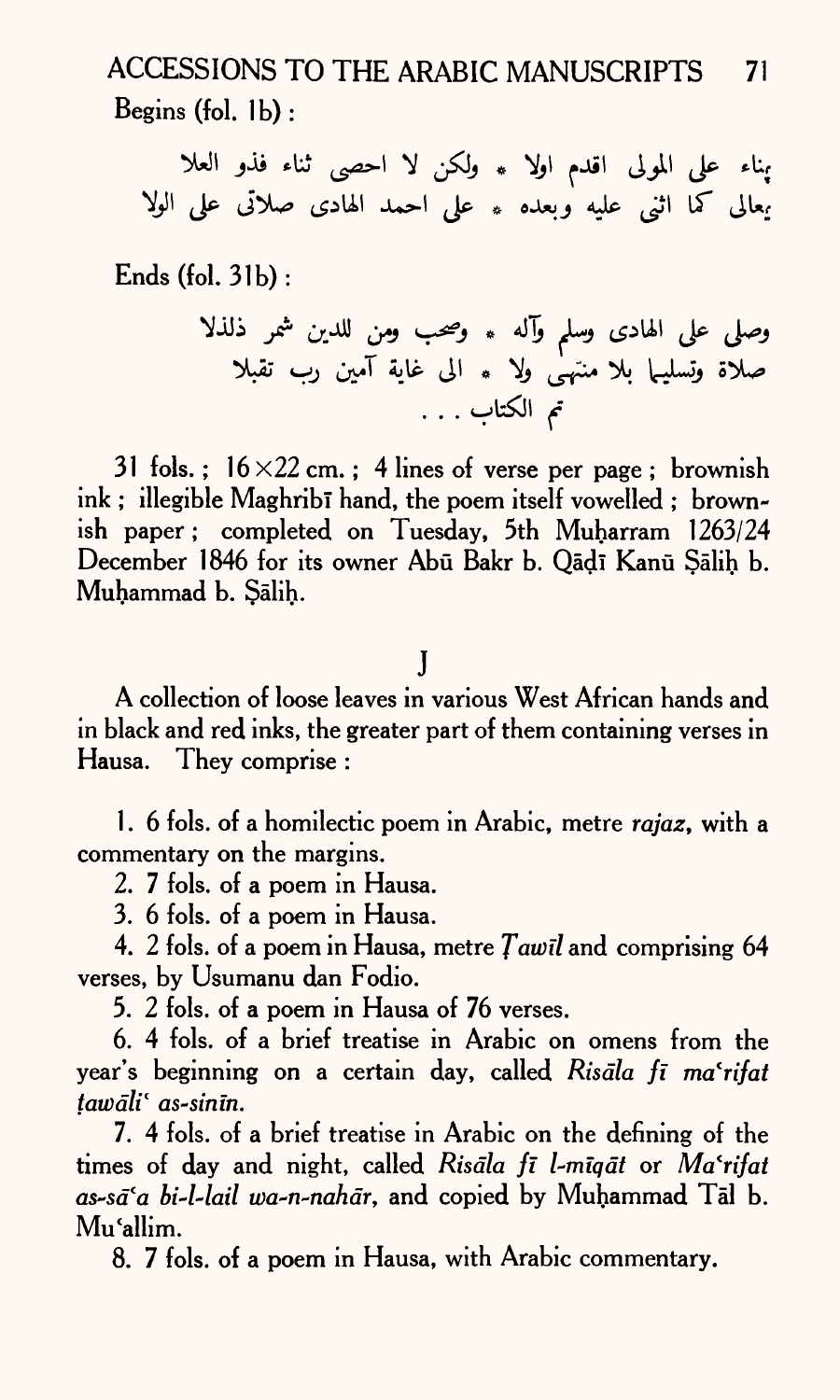ACCESSIONS TO THE ARABIC MANUSCRIPTS 71 Begins (fol. 1b):

يناء على المولى اقدم اولا \* ولكن لا احصى ثناء فذو العلا يعالى كما اثني عليه وبعده \* على احمد الهادى صلاتى على الولا

Ends (fol. 31b):

31 fols. ;  $16 \times 22$  cm. ; 4 lines of verse per page ; brownish ink; illegible Maghrib<sup>i</sup> hand, the poem itself vowelled; brownish paper; completed on Tuesday, 5th Muharram 1263/24 December 1846 for its owner Abū Bakr b. Qādī Kanū Sālih b. Muhammad b. Salih.

### j

A collection of loose leaves in various West African hands and in black and red inks, the greater part of them containing verses in Hausa. They comprise :

1 . 6 fols. of a homilectic poem in Arabic, metre *rajaz,* with <sup>a</sup> commentary on the margins.

2. 7 fols. of a poem in Hausa.

3. 6 fols. of <sup>a</sup>poem in Hausa.

4. 2 fols. of <sup>a</sup>poem in Hausa, metre *fawtl* and comprising 64 verses, by Usumanu dan Fodio.

5. 2 fols. of <sup>a</sup>poem in Hausa of 76 verses.

6. 4 fols. of a brief treatise in Arabic on omens from the year's beginning on a certain day, called *Risdla fi ma'rifat tawdli 1 as-sinm.*

7. 4 fols. of a brief treatise in Arabic on the defining of the times of day and night, called *Risdla fi l-miqdt* or *Ma'rifat as~sdla bi-l-lail wa-n-nahdr,* and copied by Muhammad Tal b. Mu'allim.

8. 7 fols. of a poem in Hausa, with Arabic commentary.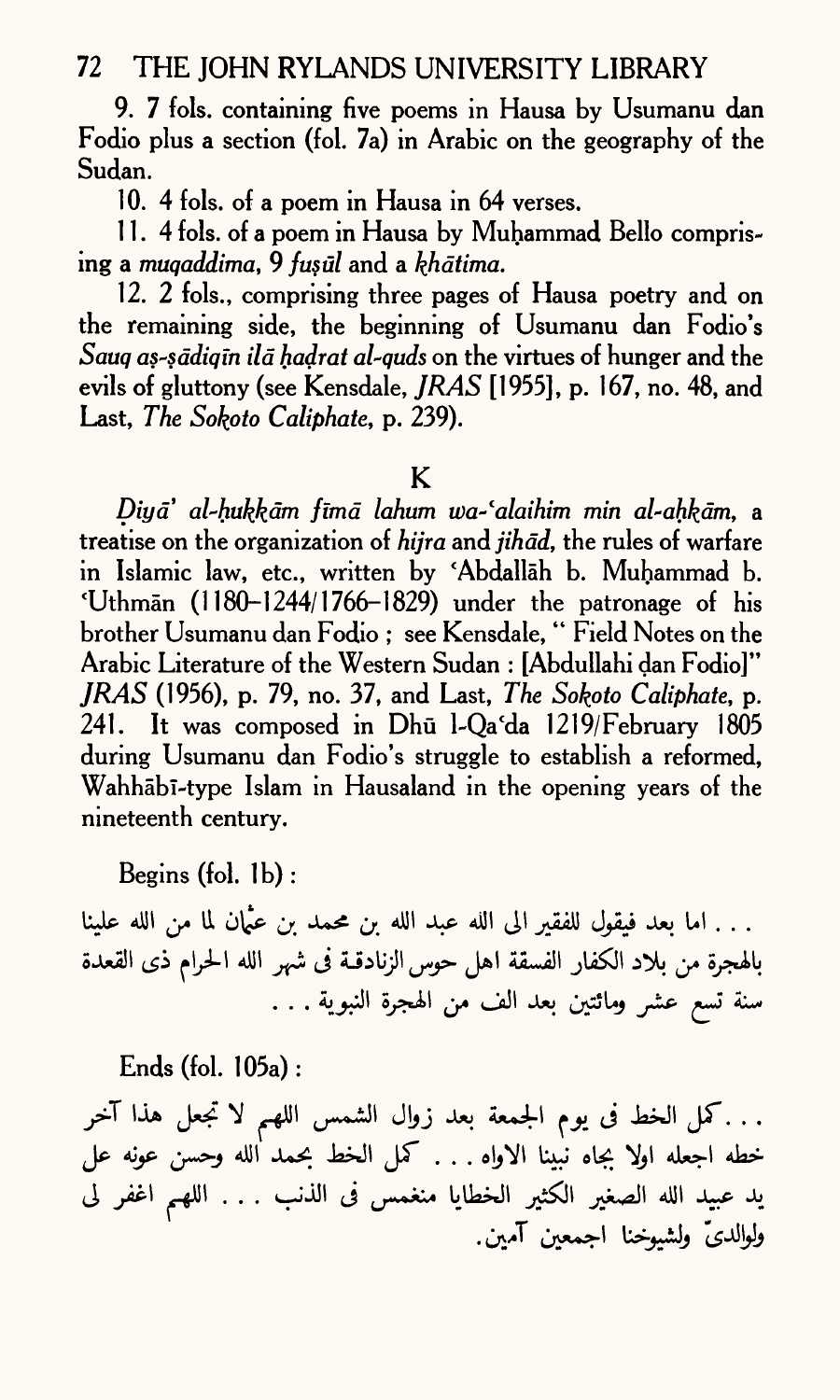9. 7 fols. containing five poems in Hausa by Usumanu dan Fodio plus a section (fol. 7a) in Arabic on the geography of the Sudan.

10. 4 fols. of a poem in Hausa in 64 verses.

11.4 fols. of a poem in Hausa by Muhammad Bello comprising a *muqaddima,* 9 *fus til* and a *khdtima.*

12. 2 fols., comprising three pages of Hausa poetry and on the remaining side, the beginning of Usumanu dan Fodio's *Sauq as-sddiqm ild hadrat al-quds* on the virtues of hunger and the evils of gluttony (see Kensdale, *JRAS* [1955], p. 167, no. 48, and Last, *The So^oto Caliphate,* p. 239).

### K

*Diyd' al~hukk.dm fimd lahum wa-'alaihim min al-ahkdm,* <sup>a</sup> treatise on the organization of *hijra* and *jihad*, the rules of warfare in Islamic law, etc., written by 'Abdallah b. Muhammad b. 'Uthman (1180-1244/1766-1829) under the patronage of his brother Usumanu dan Fodio ; see Kensdale, " Field Notes on the Arabic Literature of the Western Sudan : [Abdullahi dan Fodio]" *JRAS* (1956), p. 79, no. 37, and Last, *The Sokoto Caliphate,* p. 241. It was composed in Dhū l-Qa'da 1219/February 1805 during Usumanu dan Fodio's struggle to establish a reformed, Wahhābī-type Islam in Hausaland in the opening years of the nineteenth century.

Begins (fol. Ib) :

. . . اما بعد فيقول للفقير الى الله عبد الله بن محمد بن ع<sup>ن</sup>مان لما من الله علينا بالهجرة من بلاد الكفار الفسقة اهل حوس الزنادقـة فى شهر الله الحرام ذى القعدة سنة تسع عشر ومائتين بعد الف من الهجرة النبوية . . .

Ends (fol. 105a):

. . . كمل الخط فى يوم الجمعة بعد زوال الشمس اللهم لا تجعل هذا آخر خطه اجعله اولًا بجاه نبينا الاواه . . . كمل الخط بحمد الله وحسن عونه عل يد عبيد الله الصغير الكثير الخطايا منغمس فى الذنب . . . اللهم اغفر لى  $\mathcal{F}$  . The set of the set of the set of the set of the set of the set of the set of the set of the set of the set of the set of the set of the set of the set of the set of the set of the set of the set of the set of t . *.* . . . .